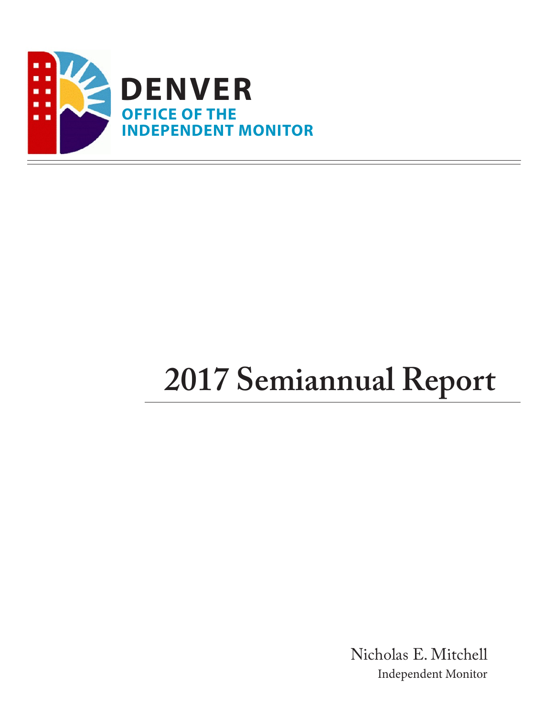

# **2017 Semiannual Report**

Nicholas E. Mitchell Independent Monitor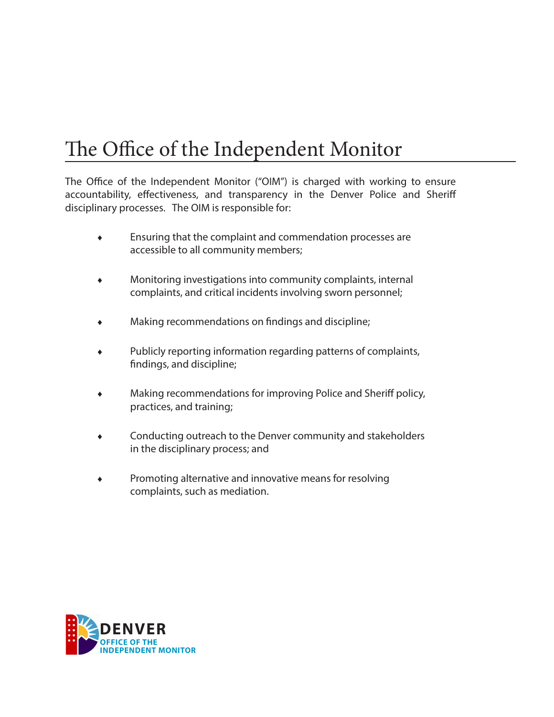# The Office of the Independent Monitor

The Office of the Independent Monitor ("OIM") is charged with working to ensure accountability, effectiveness, and transparency in the Denver Police and Sheriff disciplinary processes. The OIM is responsible for:

- ♦ Ensuring that the complaint and commendation processes are accessible to all community members;
- ♦ Monitoring investigations into community complaints, internal complaints, and critical incidents involving sworn personnel;
- ♦ Making recommendations on fndings and discipline;
- ♦ Publicly reporting information regarding patterns of complaints, fndings, and discipline;
- ♦ Making recommendations for improving Police and Sherif policy, practices, and training;
- ♦ Conducting outreach to the Denver community and stakeholders in the disciplinary process; and
- ♦ Promoting alternative and innovative means for resolving complaints, such as mediation.

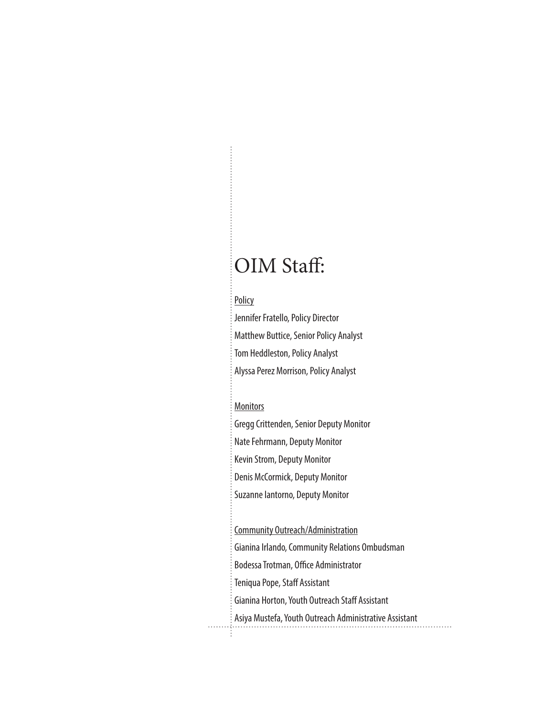# OIM Staff:

#### **Policy**

Jennifer Fratello, Policy Director Matthew Buttice, Senior Policy Analyst Tom Heddleston, Policy Analyst Alyssa Perez Morrison, Policy Analyst

#### **Monitors**

Gregg Crittenden, Senior Deputy Monitor

Nate Fehrmann, Deputy Monitor

Kevin Strom, Deputy Monitor

Denis McCormick, Deputy Monitor

Suzanne Iantorno, Deputy Monitor

Community Outreach/Administration Gianina Irlando, Community Relations Ombudsman

Bodessa Trotman, Office Administrator

Teniqua Pope, Staff Assistant

÷

Gianina Horton, Youth Outreach Staff Assistant

Asiya Mustefa, Youth Outreach Administrative Assistant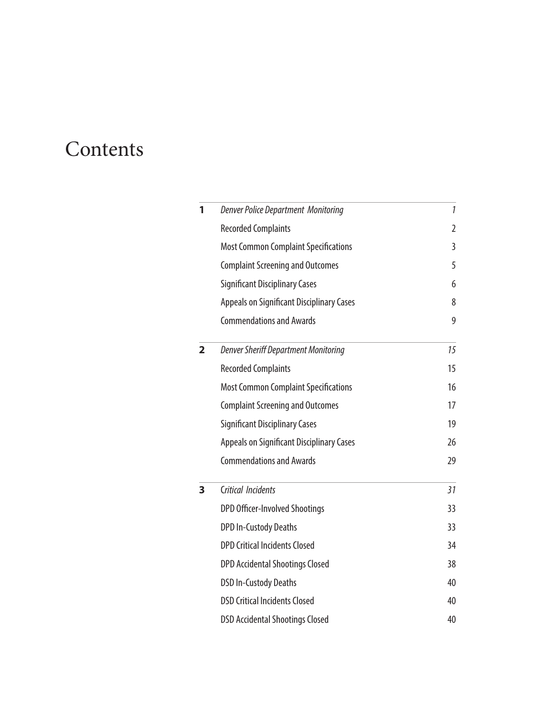# **Contents**

| 1              | <b>Denver Police Department Monitoring</b>       | 1<br>$\overline{2}$ |
|----------------|--------------------------------------------------|---------------------|
|                | <b>Recorded Complaints</b>                       |                     |
|                | <b>Most Common Complaint Specifications</b>      | 3                   |
|                | <b>Complaint Screening and Outcomes</b>          | 5                   |
|                | <b>Significant Disciplinary Cases</b>            | 6                   |
|                | <b>Appeals on Significant Disciplinary Cases</b> | 8                   |
|                | <b>Commendations and Awards</b>                  | 9                   |
| $\overline{2}$ | <b>Denver Sheriff Department Monitoring</b>      | 15                  |
|                | <b>Recorded Complaints</b>                       | 15                  |
|                | <b>Most Common Complaint Specifications</b>      | 16                  |
|                | <b>Complaint Screening and Outcomes</b>          | 17                  |
|                | <b>Significant Disciplinary Cases</b>            | 19                  |
|                | <b>Appeals on Significant Disciplinary Cases</b> | 26                  |
|                | <b>Commendations and Awards</b>                  | 29                  |
| 3              | Critical Incidents                               | 31                  |
|                | <b>DPD Officer-Involved Shootings</b>            | 33                  |
|                | <b>DPD In-Custody Deaths</b>                     | 33                  |
|                | <b>DPD Critical Incidents Closed</b>             | 34                  |
|                | <b>DPD Accidental Shootings Closed</b>           | 38                  |
|                | <b>DSD In-Custody Deaths</b>                     | 40                  |
|                | <b>DSD Critical Incidents Closed</b>             | 40                  |
|                | <b>DSD Accidental Shootings Closed</b>           | 40                  |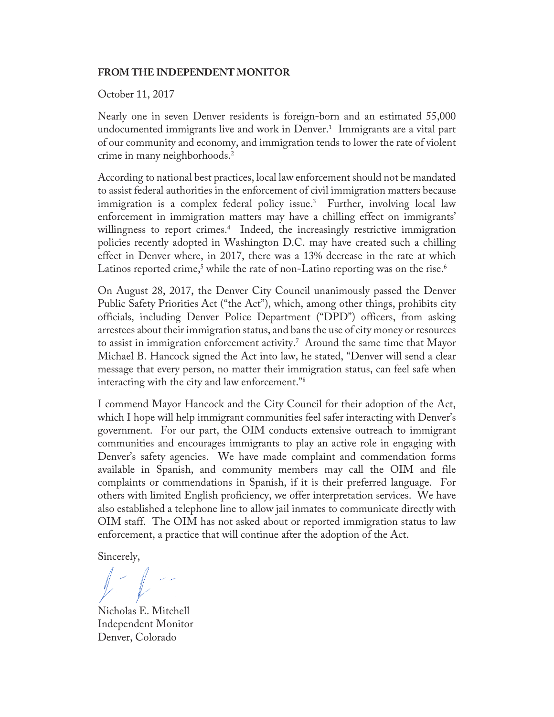#### **FROM THE INDEPENDENT MONITOR**

October 11, 2017

 undocumented immigrants live and work in Denver.1 Immigrants are a vital part crime in many neighborhoods.2 Nearly one in seven Denver residents is foreign-born and an estimated 55,000 of our community and economy, and immigration tends to lower the rate of violent

 immigration is a complex federal policy issue.3 Further, involving local law willingness to report crimes.4 Indeed, the increasingly restrictive immigration According to national best practices, local law enforcement should not be mandated to assist federal authorities in the enforcement of civil immigration matters because enforcement in immigration matters may have a chilling effect on immigrants' policies recently adopted in Washington D.C. may have created such a chilling effect in Denver where, in 2017, there was a 13% decrease in the rate at which Latinos reported crime,<sup>5</sup> while the rate of non-Latino reporting was on the rise. $6$ 

 to assist in immigration enforcement activity.7 Around the same time that Mayor interacting with the city and law enforcement."8 On August 28, 2017, the Denver City Council unanimously passed the Denver Public Safety Priorities Act ("the Act"), which, among other things, prohibits city officials, including Denver Police Department ("DPD") officers, from asking arrestees about their immigration status, and bans the use of city money or resources Michael B. Hancock signed the Act into law, he stated, "Denver will send a clear message that every person, no matter their immigration status, can feel safe when

 available in Spanish, and community members may call the OIM and file complaints or commendations in Spanish, if it is their preferred language. For others with limited English proficiency, we offer interpretation services. We have enforcement, a practice that will continue after the adoption of the Act. Sincerely, I commend Mayor Hancock and the City Council for their adoption of the Act, which I hope will help immigrant communities feel safer interacting with Denver's government. For our part, the OIM conducts extensive outreach to immigrant communities and encourages immigrants to play an active role in engaging with Denver's safety agencies. We have made complaint and commendation forms also established a telephone line to allow jail inmates to communicate directly with OIM staff. The OIM has not asked about or reported immigration status to law

 $1 - 1 -$ 

Nicholas E. Mitchell Independent Monitor Denver, Colorado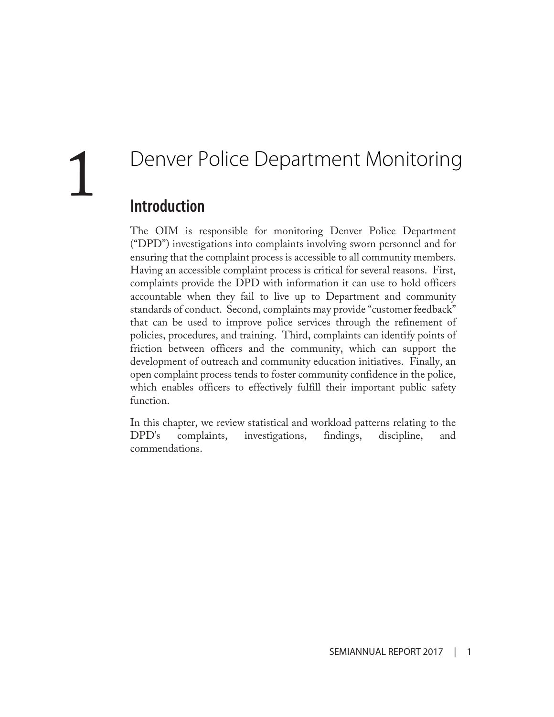# Denver Police Department Monitoring

# **Introduction**

The OIM is responsible for monitoring Denver Police Department ("DPD") investigations into complaints involving sworn personnel and for ensuring that the complaint process is accessible to all community members. Having an accessible complaint process is critical for several reasons. First, complaints provide the DPD with information it can use to hold officers accountable when they fail to live up to Department and community standards of conduct. Second, complaints may provide "customer feedback" that can be used to improve police services through the refinement of policies, procedures, and training. Third, complaints can identify points of friction between officers and the community, which can support the development of outreach and community education initiatives. Finally, an open complaint process tends to foster community confidence in the police, which enables officers to effectively fulfill their important public safety function.

In this chapter, we review statistical and workload patterns relating to the DPD's complaints, investigations, findings, discipline, and commendations.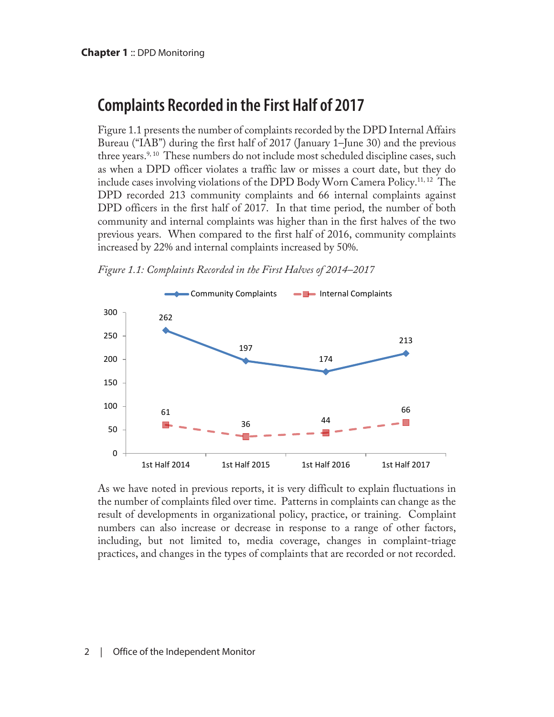### **Complaints Recorded in the First Half of 2017**

 three years.9, 10 These numbers do not include most scheduled discipline cases, such as when a DPD officer violates a traffic law or misses a court date, but they do include cases involving violations of the DPD Body Worn Camera [Policy.11](https://Policy.11), 12 The community and internal complaints was higher than in the first halves of the two Figure 1.1 presents the number of complaints recorded by the DPD Internal Affairs Bureau ("IAB") during the first half of 2017 (January 1–June 30) and the previous DPD recorded 213 community complaints and 66 internal complaints against DPD officers in the first half of 2017. In that time period, the number of both previous years. When compared to the first half of 2016, community complaints increased by 22% and internal complaints increased by 50%.

 *Figure 1.1: Complaints Recorded in the First Halves of 2014–2017* 



 result of developments in organizational policy, practice, or training. Complaint As we have noted in previous reports, it is very difficult to explain fluctuations in the number of complaints filed over time. Patterns in complaints can change as the numbers can also increase or decrease in response to a range of other factors, including, but not limited to, media coverage, changes in complaint-triage practices, and changes in the types of complaints that are recorded or not recorded.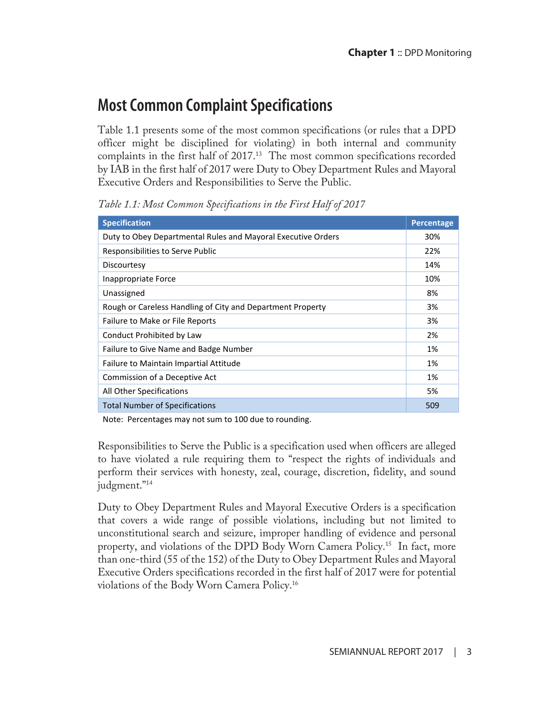# **Most Common Complaint Specifications**

 Table 1.1 presents some of the most common specifications (or rules that a DPD complaints in the first half of 2017.13 The most common specifications recorded by IAB in the first half of 2017 were Duty to Obey Department Rules and Mayoral officer might be disciplined for violating) in both internal and community Executive Orders and Responsibilities to Serve the Public.

| <b>Specification</b>                                         |     |
|--------------------------------------------------------------|-----|
| Duty to Obey Departmental Rules and Mayoral Executive Orders |     |
| Responsibilities to Serve Public                             |     |
| Discourtesy                                                  | 14% |
| Inappropriate Force                                          | 10% |
| Unassigned                                                   |     |
| Rough or Careless Handling of City and Department Property   |     |
| Failure to Make or File Reports                              |     |
| Conduct Prohibited by Law                                    |     |
| Failure to Give Name and Badge Number                        |     |
| Failure to Maintain Impartial Attitude                       |     |
| Commission of a Deceptive Act                                |     |
| All Other Specifications                                     |     |
| <b>Total Number of Specifications</b>                        | 509 |

*Table 1.1: Most Common Specifications in the First Half of 2017* 

Note: Percentages may not sum to 100 due to rounding.

Responsibilities to Serve the Public is a specification used when officers are alleged to have violated a rule requiring them to "respect the rights of individuals and perform their services with honesty, zeal, courage, discretion, fidelity, and sound judgment."14

 property, and violations of the DPD Body Worn Camera [Policy.](https://Policy.15) 15 In fact, more Executive Orders specifications recorded in the first half of 2017 were for potential Duty to Obey Department Rules and Mayoral Executive Orders is a specification that covers a wide range of possible violations, including but not limited to unconstitutional search and seizure, improper handling of evidence and personal than one-third (55 of the 152) of the Duty to Obey Department Rules and Mayoral violations of the Body Worn Camera [Policy.16](https://Policy.16)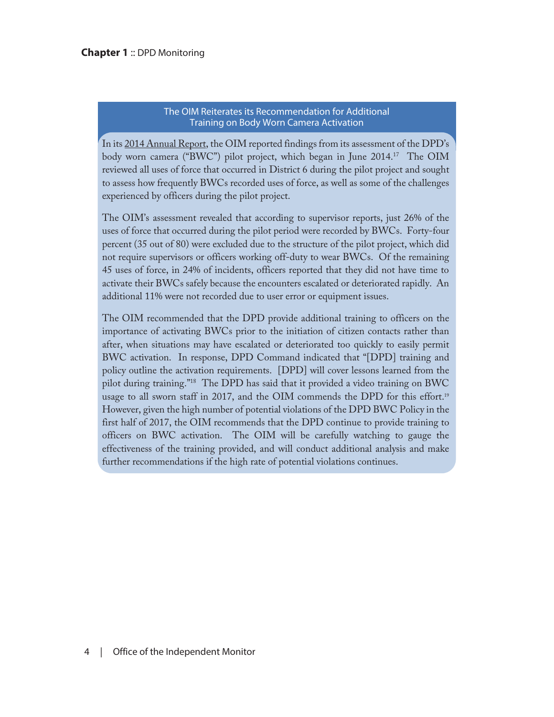#### The OIM Reiterates its Recommendation for Additional Training on Body Worn Camera Activation

body worn camera ("BWC") pilot project, which began in June 2014.<sup>17</sup> The OIM reviewed all uses of force that occurred in District 6 during the pilot project and sought to assess how frequently BWCs recorded uses of force, as well as some of the challenges experienced by officers during the pilot project. In its 2014 Annual Report, the OIM reported findings from its assessment of the DPD's

The OIM's assessment revealed that according to supervisor reports, just 26% of the uses of force that occurred during the pilot period were recorded by BWCs. Forty-four percent (35 out of 80) were excluded due to the structure of the pilot project, which did not require supervisors or officers working off-duty to wear BWCs. Of the remaining 45 uses of force, in 24% of incidents, officers reported that they did not have time to activate their BWCs safely because the encounters escalated or deteriorated rapidly. An additional 11% were not recorded due to user error or equipment issues.

The OIM recommended that the DPD provide additional training to officers on the importance of activating BWCs prior to the initiation of citizen contacts rather than after, when situations may have escalated or deteriorated too quickly to easily permit BWC activation. In response, DPD Command indicated that "[DPD] training and policy outline the activation requirements. [DPD] will cover lessons learned from the pilot during training."18 The DPD has said that it provided a video training on BWC usage to all sworn staff in 2017, and the OIM commends the DPD for this effort.19 However, given the high number of potential violations of the DPD BWC Policy in the first half of 2017, the OIM recommends that the DPD continue to provide training to officers on BWC activation. The OIM will be carefully watching to gauge the effectiveness of the training provided, and will conduct additional analysis and make further recommendations if the high rate of potential violations continues.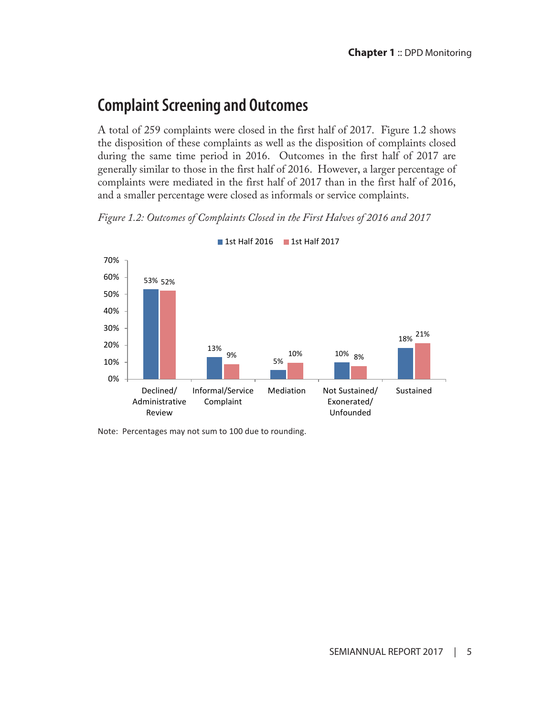# **Complaint Screening and Outcomes**

A total of 259 complaints were closed in the first half of 2017. Figure 1.2 shows the disposition of these complaints as well as the disposition of complaints closed during the same time period in 2016. Outcomes in the first half of 2017 are generally similar to those in the first half of 2016. However, a larger percentage of complaints were mediated in the first half of 2017 than in the first half of 2016, and a smaller percentage were closed as informals or service complaints.

*Figure 1.2: Outcomes of Complaints Closed in the First Halves of 2016 and 2017* 



**1st Half 2016** 1st Half 2017

Note: Percentages may not sum to 100 due to rounding.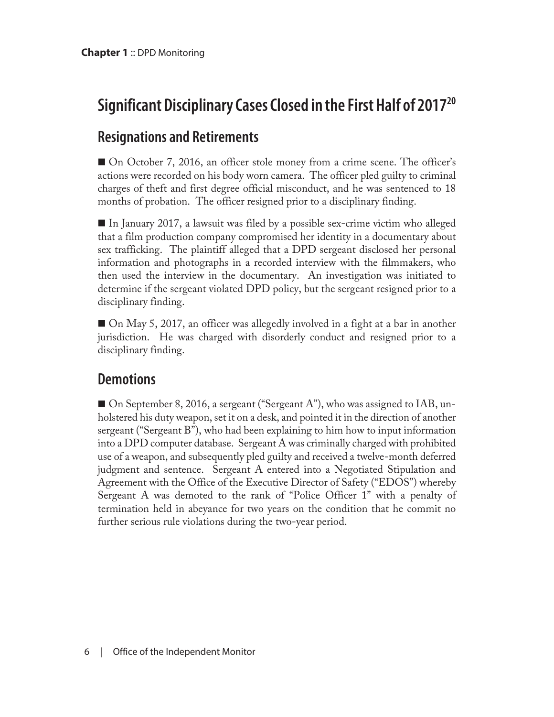# **Significant Disciplinary Cases Closed in the First Half of 201720**

#### **Resignations and Retirements**

 charges of theft and first degree official misconduct, and he was sentenced to 18 ■ On October 7, 2016, an officer stole money from a crime scene. The officer's actions were recorded on his body worn camera. The officer pled guilty to criminal months of probation. The officer resigned prior to a disciplinary finding.

 then used the interview in the documentary. An investigation was initiated to In January 2017, a lawsuit was filed by a possible sex-crime victim who alleged that a film production company compromised her identity in a documentary about sex trafficking. The plaintiff alleged that a DPD sergeant disclosed her personal information and photographs in a recorded interview with the filmmakers, who determine if the sergeant violated DPD policy, but the sergeant resigned prior to a disciplinary finding.

 On May 5, 2017, an officer was allegedly involved in a fight at a bar in another jurisdiction. He was charged with disorderly conduct and resigned prior to a disciplinary finding.

#### **Demotions**

 holstered his duty weapon, set it on a desk, and pointed it in the direction of another Sergeant A was demoted to the rank of "Police Officer 1" with a penalty of  $\blacksquare$  On September 8, 2016, a sergeant ("Sergeant A"), who was assigned to IAB, unsergeant ("Sergeant B"), who had been explaining to him how to input information into a DPD computer database. Sergeant A was criminally charged with prohibited use of a weapon, and subsequently pled guilty and received a twelve-month deferred judgment and sentence. Sergeant A entered into a Negotiated Stipulation and Agreement with the Office of the Executive Director of Safety ("EDOS") whereby termination held in abeyance for two years on the condition that he commit no further serious rule violations during the two-year period.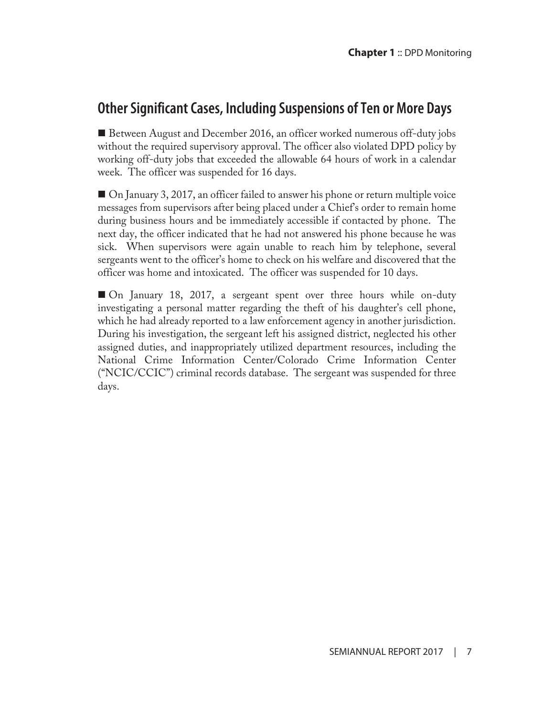#### **Other Significant Cases, Including Suspensions of Ten or More Days**

 working off-duty jobs that exceeded the allowable 64 hours of work in a calendar ■ Between August and December 2016, an officer worked numerous off-duty jobs without the required supervisory approval. The officer also violated DPD policy by week. The officer was suspended for 16 days.

 officer was home and intoxicated. The officer was suspended for 10 days. On January 3, 2017, an officer failed to answer his phone or return multiple voice messages from supervisors after being placed under a Chief's order to remain home during business hours and be immediately accessible if contacted by phone. The next day, the officer indicated that he had not answered his phone because he was sick. When supervisors were again unable to reach him by telephone, several sergeants went to the officer's home to check on his welfare and discovered that the

 which he had already reported to a law enforcement agency in another jurisdiction. On January 18, 2017, a sergeant spent over three hours while on-duty investigating a personal matter regarding the theft of his daughter's cell phone, During his investigation, the sergeant left his assigned district, neglected his other assigned duties, and inappropriately utilized department resources, including the National Crime Information Center/Colorado Crime Information Center ("NCIC/CCIC") criminal records database. The sergeant was suspended for three days.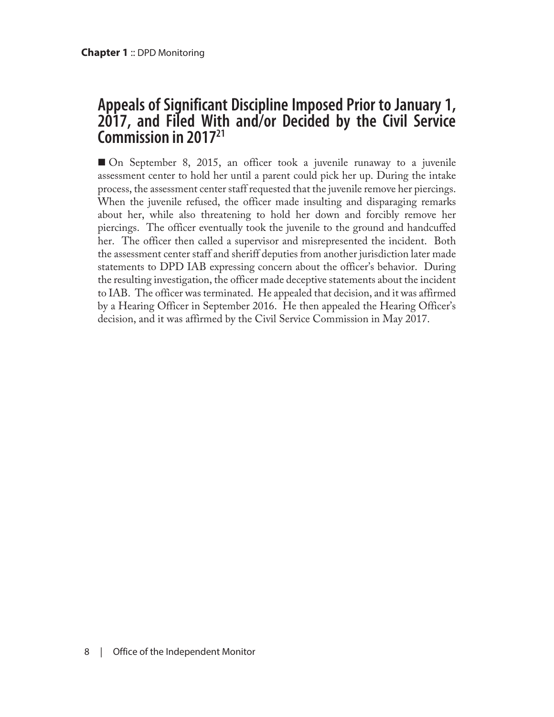#### **Appeals of Significant Discipline Imposed Prior to January 1, 2017, and Filed With and/or Decided by the Civil Service Commission in 201721**

 process, the assessment center staff requested that the juvenile remove her piercings. her. The officer then called a supervisor and misrepresented the incident. Both to IAB. The officer was terminated. He appealed that decision, and it was affirmed On September 8, 2015, an officer took a juvenile runaway to a juvenile assessment center to hold her until a parent could pick her up. During the intake When the juvenile refused, the officer made insulting and disparaging remarks about her, while also threatening to hold her down and forcibly remove her piercings. The officer eventually took the juvenile to the ground and handcuffed the assessment center staff and sheriff deputies from another jurisdiction later made statements to DPD IAB expressing concern about the officer's behavior. During the resulting investigation, the officer made deceptive statements about the incident by a Hearing Officer in September 2016. He then appealed the Hearing Officer's decision, and it was affirmed by the Civil Service Commission in May 2017.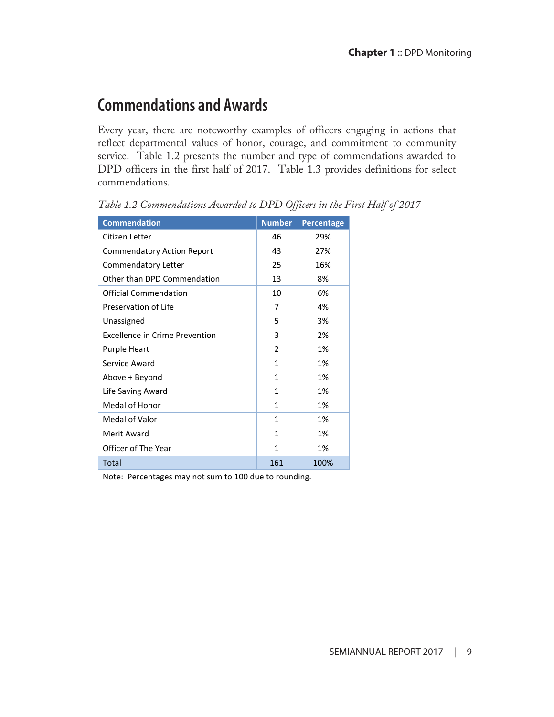# **Commendations and Awards**

 Every year, there are noteworthy examples of officers engaging in actions that service. Table 1.2 presents the number and type of commendations awarded to reflect departmental values of honor, courage, and commitment to community DPD officers in the first half of 2017. Table 1.3 provides definitions for select commendations.

| <b>Commendation</b>               | <b>Number</b> | <b>Percentage</b> |  |
|-----------------------------------|---------------|-------------------|--|
| Citizen Letter                    | 46            | 29%               |  |
| <b>Commendatory Action Report</b> | 43            | 27%               |  |
| <b>Commendatory Letter</b>        | 25            | 16%               |  |
| Other than DPD Commendation       | 13            | 8%                |  |
| <b>Official Commendation</b>      | 10            | 6%                |  |
| Preservation of Life              | 7             | 4%                |  |
| Unassigned                        | 5             | 3%                |  |
| Excellence in Crime Prevention    | 3             | 2%                |  |
| Purple Heart                      | 2             | 1%                |  |
| Service Award                     | $\mathbf{1}$  | 1%                |  |
| Above + Beyond                    | 1             | 1%                |  |
| Life Saving Award                 | 1             | 1%                |  |
| Medal of Honor                    | 1             | 1%                |  |
| Medal of Valor                    | 1             | 1%                |  |
| Merit Award                       | 1             | 1%                |  |
| Officer of The Year               | 1             | 1%                |  |
| <b>Total</b>                      | 161           | 100%              |  |
|                                   |               |                   |  |

Note: Percentages may not sum to 100 due to rounding.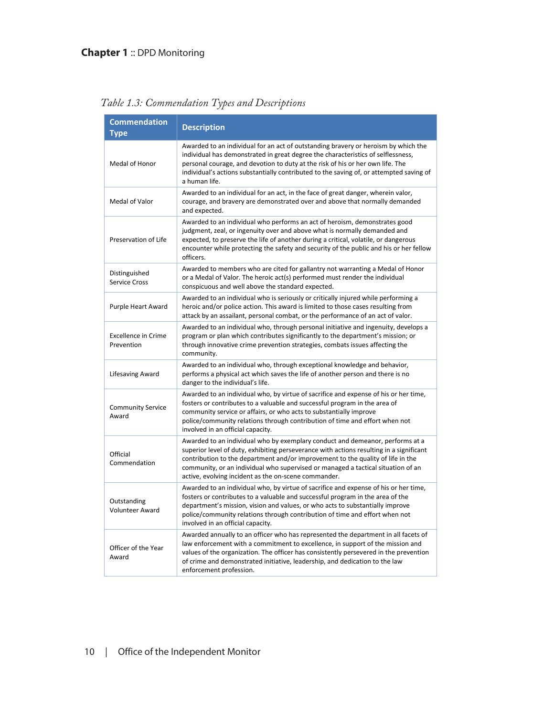| <b>Commendation</b><br><b>Type</b>       | <b>Description</b>                                                                                                                                                                                                                                                                                                                                                                                      |
|------------------------------------------|---------------------------------------------------------------------------------------------------------------------------------------------------------------------------------------------------------------------------------------------------------------------------------------------------------------------------------------------------------------------------------------------------------|
| Medal of Honor                           | Awarded to an individual for an act of outstanding bravery or heroism by which the<br>individual has demonstrated in great degree the characteristics of selflessness,<br>personal courage, and devotion to duty at the risk of his or her own life. The<br>individual's actions substantially contributed to the saving of, or attempted saving of<br>a human life.                                    |
| Medal of Valor                           | Awarded to an individual for an act, in the face of great danger, wherein valor,<br>courage, and bravery are demonstrated over and above that normally demanded<br>and expected.                                                                                                                                                                                                                        |
| Preservation of Life                     | Awarded to an individual who performs an act of heroism, demonstrates good<br>judgment, zeal, or ingenuity over and above what is normally demanded and<br>expected, to preserve the life of another during a critical, volatile, or dangerous<br>encounter while protecting the safety and security of the public and his or her fellow<br>officers.                                                   |
| Distinguished<br><b>Service Cross</b>    | Awarded to members who are cited for gallantry not warranting a Medal of Honor<br>or a Medal of Valor. The heroic act(s) performed must render the individual<br>conspicuous and well above the standard expected.                                                                                                                                                                                      |
| Purple Heart Award                       | Awarded to an individual who is seriously or critically injured while performing a<br>heroic and/or police action. This award is limited to those cases resulting from<br>attack by an assailant, personal combat, or the performance of an act of valor.                                                                                                                                               |
| <b>Excellence in Crime</b><br>Prevention | Awarded to an individual who, through personal initiative and ingenuity, develops a<br>program or plan which contributes significantly to the department's mission; or<br>through innovative crime prevention strategies, combats issues affecting the<br>community.                                                                                                                                    |
| Lifesaving Award                         | Awarded to an individual who, through exceptional knowledge and behavior,<br>performs a physical act which saves the life of another person and there is no<br>danger to the individual's life.                                                                                                                                                                                                         |
| <b>Community Service</b><br>Award        | Awarded to an individual who, by virtue of sacrifice and expense of his or her time,<br>fosters or contributes to a valuable and successful program in the area of<br>community service or affairs, or who acts to substantially improve<br>police/community relations through contribution of time and effort when not<br>involved in an official capacity.                                            |
| Official<br>Commendation                 | Awarded to an individual who by exemplary conduct and demeanor, performs at a<br>superior level of duty, exhibiting perseverance with actions resulting in a significant<br>contribution to the department and/or improvement to the quality of life in the<br>community, or an individual who supervised or managed a tactical situation of an<br>active, evolving incident as the on-scene commander. |
| Outstanding<br><b>Volunteer Award</b>    | Awarded to an individual who, by virtue of sacrifice and expense of his or her time,<br>fosters or contributes to a valuable and successful program in the area of the<br>department's mission, vision and values, or who acts to substantially improve<br>police/community relations through contribution of time and effort when not<br>involved in an official capacity.                             |
| Officer of the Year<br>Award             | Awarded annually to an officer who has represented the department in all facets of<br>law enforcement with a commitment to excellence, in support of the mission and<br>values of the organization. The officer has consistently persevered in the prevention<br>of crime and demonstrated initiative, leadership, and dedication to the law<br>enforcement profession.                                 |

*Table 1.3: Commendation Types and Descriptions*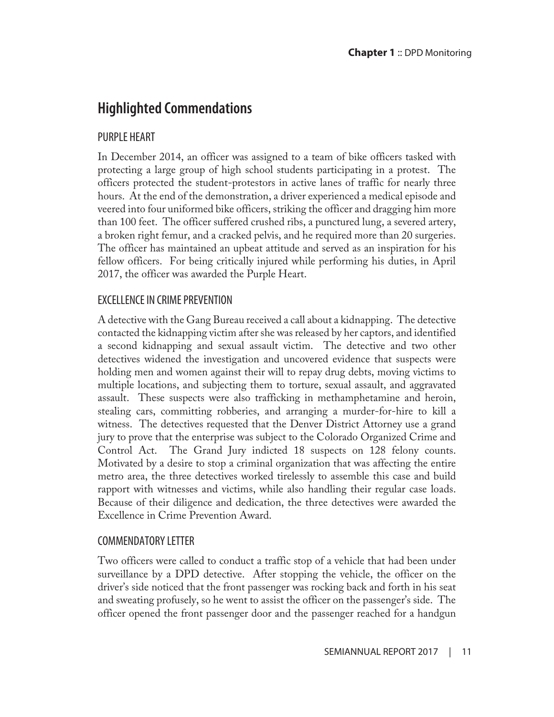#### **Highlighted Commendations**

#### PURPLE HEART

 protecting a large group of high school students participating in a protest. The a broken right femur, and a cracked pelvis, and he required more than 20 surgeries. In December 2014, an officer was assigned to a team of bike officers tasked with officers protected the student-protestors in active lanes of traffic for nearly three hours. At the end of the demonstration, a driver experienced a medical episode and veered into four uniformed bike officers, striking the officer and dragging him more than 100 feet. The officer suffered crushed ribs, a punctured lung, a severed artery, The officer has maintained an upbeat attitude and served as an inspiration for his fellow officers. For being critically injured while performing his duties, in April 2017, the officer was awarded the Purple Heart.

#### EXCELLENCE IN CRIME PREVENTION

 A detective with the Gang Bureau received a call about a kidnapping. The detective multiple locations, and subjecting them to torture, sexual assault, and aggravated Control Act. The Grand Jury indicted 18 suspects on 128 felony counts. contacted the kidnapping victim after she was released by her captors, and identified a second kidnapping and sexual assault victim. The detective and two other detectives widened the investigation and uncovered evidence that suspects were holding men and women against their will to repay drug debts, moving victims to assault. These suspects were also trafficking in methamphetamine and heroin, stealing cars, committing robberies, and arranging a murder-for-hire to kill a witness. The detectives requested that the Denver District Attorney use a grand jury to prove that the enterprise was subject to the Colorado Organized Crime and Motivated by a desire to stop a criminal organization that was affecting the entire metro area, the three detectives worked tirelessly to assemble this case and build rapport with witnesses and victims, while also handling their regular case loads. Because of their diligence and dedication, the three detectives were awarded the Excellence in Crime Prevention Award.

#### COMMENDATORY LETTER

 surveillance by a DPD detective. After stopping the vehicle, the officer on the driver's side noticed that the front passenger was rocking back and forth in his seat Two officers were called to conduct a traffic stop of a vehicle that had been under and sweating profusely, so he went to assist the officer on the passenger's side. The officer opened the front passenger door and the passenger reached for a handgun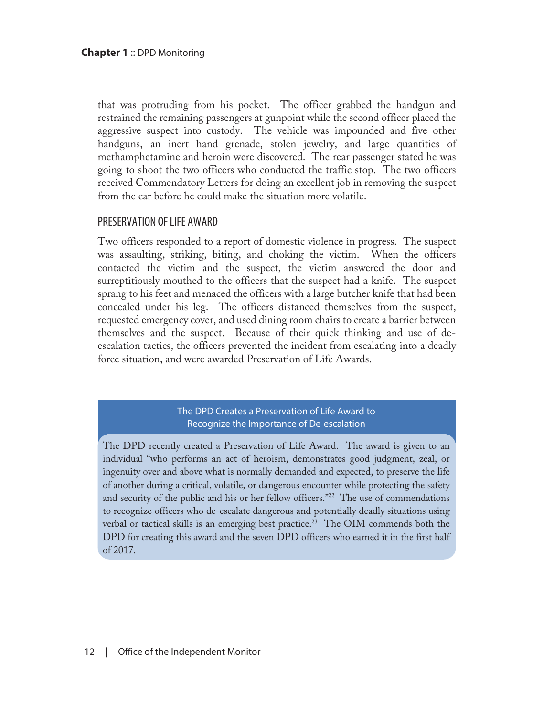methamphetamine and heroin were discovered. The rear passenger stated he was going to shoot the two officers who conducted the traffic stop. The two officers that was protruding from his pocket. The officer grabbed the handgun and restrained the remaining passengers at gunpoint while the second officer placed the aggressive suspect into custody. The vehicle was impounded and five other handguns, an inert hand grenade, stolen jewelry, and large quantities of received Commendatory Letters for doing an excellent job in removing the suspect from the car before he could make the situation more volatile.

#### PRESERVATION OF LIFE AWARD

 was assaulting, striking, biting, and choking the victim. When the officers force situation, and were awarded Preservation of Life Awards. Two officers responded to a report of domestic violence in progress. The suspect contacted the victim and the suspect, the victim answered the door and surreptitiously mouthed to the officers that the suspect had a knife. The suspect sprang to his feet and menaced the officers with a large butcher knife that had been concealed under his leg. The officers distanced themselves from the suspect, requested emergency cover, and used dining room chairs to create a barrier between themselves and the suspect. Because of their quick thinking and use of deescalation tactics, the officers prevented the incident from escalating into a deadly

> Recognize the Importance of De-escalation The DPD Creates a Preservation of Life Award to

 and security of the public and his or her fellow officers."<sup>22</sup> The use of commendations to recognize officers who de-escalate dangerous and potentially deadly situations using verbal or tactical skills is an emerging best [practice.](https://practice.23)<sup>23</sup> The OIM commends both the The DPD recently created a Preservation of Life Award. The award is given to an individual "who performs an act of heroism, demonstrates good judgment, zeal, or ingenuity over and above what is normally demanded and expected, to preserve the life of another during a critical, volatile, or dangerous encounter while protecting the safety DPD for creating this award and the seven DPD officers who earned it in the first half of 2017.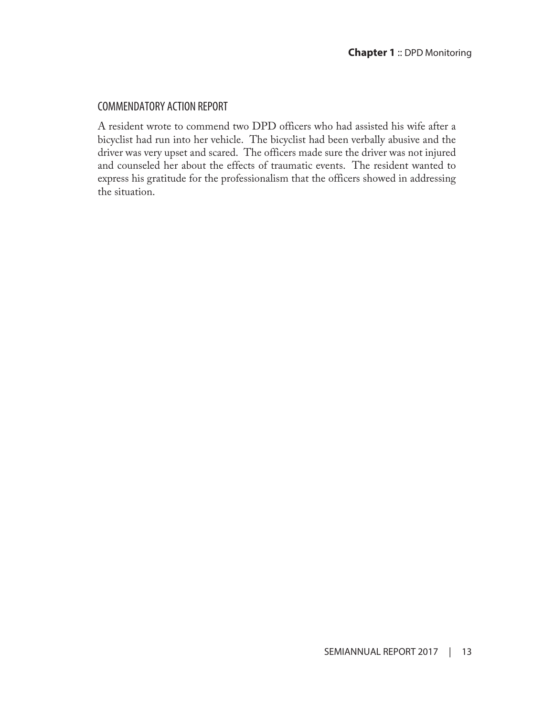#### COMMENDATORY ACTION REPORT

 bicyclist had run into her vehicle. The bicyclist had been verbally abusive and the driver was very upset and scared. The officers made sure the driver was not injured and counseled her about the effects of traumatic events. The resident wanted to A resident wrote to commend two DPD officers who had assisted his wife after a express his gratitude for the professionalism that the officers showed in addressing the situation.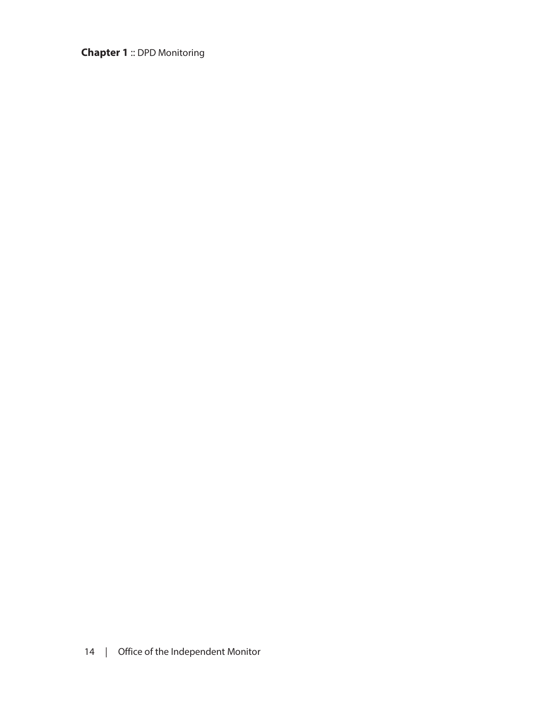**Chapter 1** :: DPD Monitoring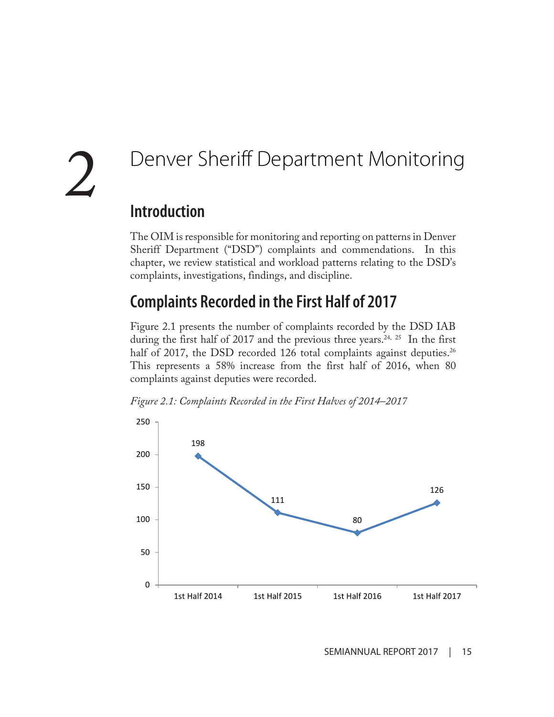# Denver Sheriff Department Monitoring

# **Introduction**

The OIM is responsible for monitoring and reporting on patterns in Denver Sheriff Department ("DSD") complaints and commendations. In this chapter, we review statistical and workload patterns relating to the DSD's complaints, investigations, findings, and discipline.

# **Complaints Recorded in the First Half of 2017**

during the first half of 2017 and the previous three years.<sup>24, 25</sup> In the first half of 2017, the DSD recorded 126 total complaints against [deputies.](https://deputies.26) 26 This represents a 58% increase from the first half of 2016, when 80 Figure 2.1 presents the number of complaints recorded by the DSD IAB complaints against deputies were recorded.

*Figure 2.1: Complaints Recorded in the First Halves of 2014–2017* 

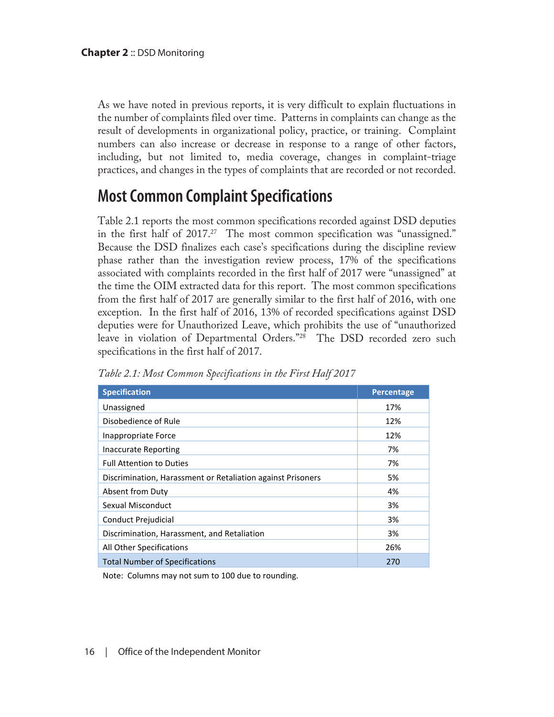result of developments in organizational policy, practice, or training. Complaint As we have noted in previous reports, it is very difficult to explain fluctuations in the number of complaints filed over time. Patterns in complaints can change as the numbers can also increase or decrease in response to a range of other factors, including, but not limited to, media coverage, changes in complaint-triage practices, and changes in the types of complaints that are recorded or not recorded.

# **Most Common Complaint Specifications**

 in the first half of 2017. 27 The most common specification was "unassigned." leave in violation of Departmental Orders."28 The DSD recorded zero such specifications in the first half of 2017. Table 2.1 reports the most common specifications recorded against DSD deputies Because the DSD finalizes each case's specifications during the discipline review phase rather than the investigation review process, 17% of the specifications associated with complaints recorded in the first half of 2017 were "unassigned" at the time the OIM extracted data for this report. The most common specifications from the first half of 2017 are generally similar to the first half of 2016, with one exception. In the first half of 2016, 13% of recorded specifications against DSD deputies were for Unauthorized Leave, which prohibits the use of "unauthorized

| <b>Specification</b>                                        | Percentage |
|-------------------------------------------------------------|------------|
| Unassigned                                                  | 17%        |
| Disobedience of Rule                                        | 12%        |
| Inappropriate Force                                         | 12%        |
| Inaccurate Reporting                                        | 7%         |
| <b>Full Attention to Duties</b>                             | 7%         |
| Discrimination, Harassment or Retaliation against Prisoners | 5%         |
| Absent from Duty                                            | 4%         |
| Sexual Misconduct                                           | 3%         |
| Conduct Prejudicial                                         | 3%         |
| Discrimination, Harassment, and Retaliation                 | 3%         |
| All Other Specifications                                    | 26%        |
| <b>Total Number of Specifications</b>                       | 270        |

 *Table 2.1: Most Common Specifications in the First Half 2017* 

Note: Columns may not sum to 100 due to rounding.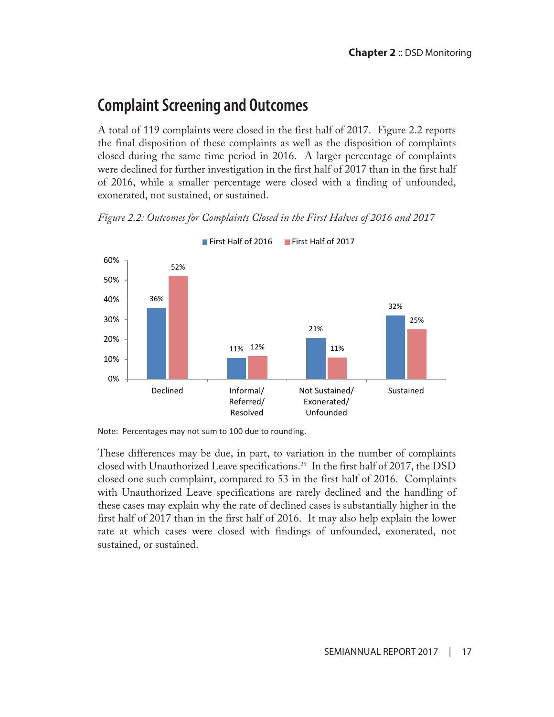# **Complaint Screening and Outcomes**

 A total of 119 complaints were closed in the first half of 2017. Figure 2.2 reports closed during the same time period in 2016. A larger percentage of complaints exonerated, not sustained, or sustained. the final disposition of these complaints as well as the disposition of complaints were declined for further investigation in the first half of 2017 than in the first half of 2016, while a smaller percentage were closed with a finding of unfounded,

 *Figure 2.2: Outcomes for Complaints Closed in the First Halves of 2016 and 2017* 



Note: Percentages may not sum to 100 due to rounding.

 closed with Unauthorized Leave [specifications.29](https://specifications.29) In the first half of 2017, the DSD first half of 2017 than in the first half of 2016. It may also help explain the lower These differences may be due, in part, to variation in the number of complaints closed one such complaint, compared to 53 in the first half of 2016. Complaints with Unauthorized Leave specifications are rarely declined and the handling of these cases may explain why the rate of declined cases is substantially higher in the rate at which cases were closed with findings of unfounded, exonerated, not sustained, or sustained.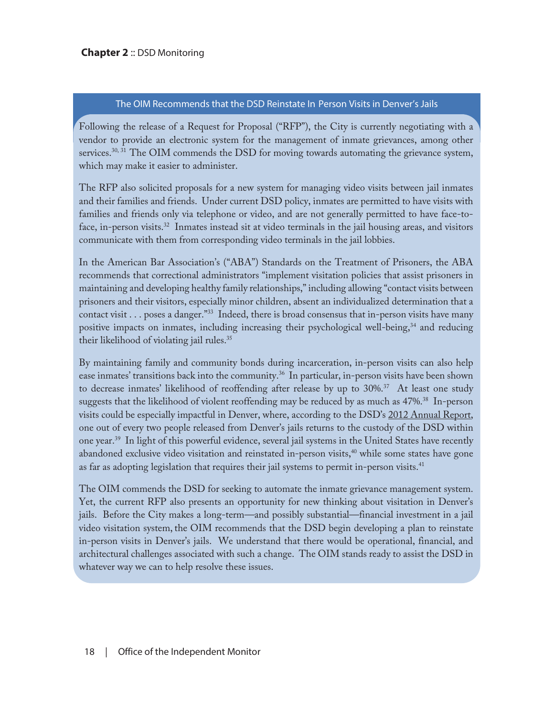#### **Chapter 2** :: DSD Monitoring

#### The OIM Recommends that the DSD Reinstate In Person Visits in Denver's Jails

Following the release of a Request for Proposal ("RFP"), the City is currently negotiating with a vendor to provide an electronic system for the management of inmate grievances, among other services.<sup>30, 31</sup> The OIM commends the DSD for moving towards automating the grievance system, which may make it easier to administer.

The RFP also solicited proposals for a new system for managing video visits between jail inmates and their families and friends. Under current DSD policy, inmates are permitted to have visits with families and friends only via telephone or video, and are not generally permitted to have face-toface, in-person visits. 32 Inmates instead sit at video terminals in the jail housing areas, and visitors communicate with them from corresponding video terminals in the jail lobbies.

In the American Bar Association's ("ABA") Standards on the Treatment of Prisoners, the ABA recommends that correctional administrators "implement visitation policies that assist prisoners in maintaining and developing healthy family relationships," including allowing "contact visits between prisoners and their visitors, especially minor children, absent an individualized determination that a contact visit  $\ldots$  poses a danger."<sup>33</sup> Indeed, there is broad consensus that in-person visits have many positive impacts on inmates, including increasing their psychological well-being, 34 and reducing their likelihood of violating jail rules.<sup>35</sup>

By maintaining family and community bonds during incarceration, in-person visits can also help ease inmates' transitions back into the community.<sup>36</sup> In particular, in-person visits have been shown to decrease inmates' likelihood of reoffending after release by up to 30%. 37 At least one study suggests that the likelihood of violent reoffending may be reduced by as much as 47%.<sup>38</sup> In-person visits could be especially impactful in Denver, where, according to the DSD's 2012 Annual Report, one out of every two people released from Denver's jails returns to the custody of the DSD within one year.39 In light of this powerful evidence, several jail systems in the United States have recently abandoned exclusive video visitation and reinstated in-person visits,<sup>40</sup> while some states have gone as far as adopting legislation that requires their jail systems to permit in-person visits.<sup>41</sup>

The OIM commends the DSD for seeking to automate the inmate grievance management system. Yet, the current RFP also presents an opportunity for new thinking about visitation in Denver's jails. Before the City makes a long-term—and possibly substantial—financial investment in a jail video visitation system, the OIM recommends that the DSD begin developing a plan to reinstate in-person visits in Denver's jails. We understand that there would be operational, financial, and architectural challenges associated with such a change. The OIM stands ready to assist the DSD in whatever way we can to help resolve these issues.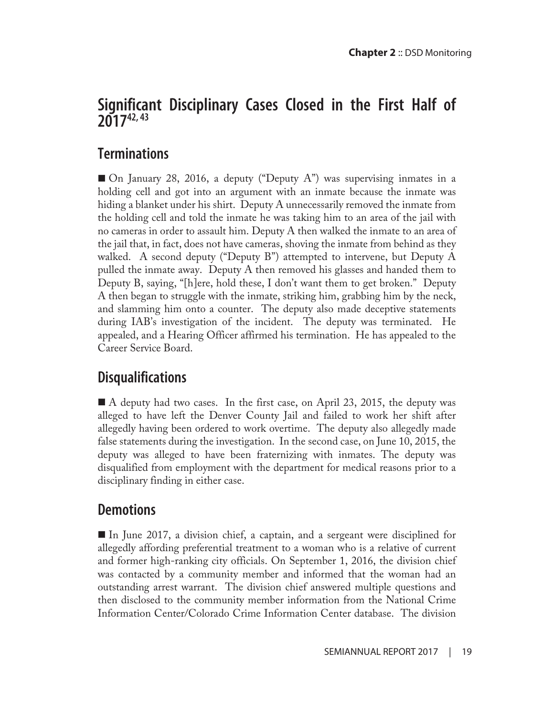#### **Significant Disciplinary Cases Closed in the First Half of 201742, 43**

#### **Terminations**

 walked. A second deputy ("Deputy B") attempted to intervene, but Deputy A pulled the inmate away. Deputy A then removed his glasses and handed them to Deputy B, saying, "[h]ere, hold these, I don't want them to get broken." Deputy during IAB's investigation of the incident. The deputy was terminated. He ■ On January 28, 2016, a deputy ("Deputy A") was supervising inmates in a holding cell and got into an argument with an inmate because the inmate was hiding a blanket under his shirt. Deputy A unnecessarily removed the inmate from the holding cell and told the inmate he was taking him to an area of the jail with no cameras in order to assault him. Deputy A then walked the inmate to an area of the jail that, in fact, does not have cameras, shoving the inmate from behind as they A then began to struggle with the inmate, striking him, grabbing him by the neck, and slamming him onto a counter. The deputy also made deceptive statements appealed, and a Hearing Officer affirmed his termination. He has appealed to the Career Service Board.

#### **Disqualifications**

■ A deputy had two cases. In the first case, on April 23, 2015, the deputy was alleged to have left the Denver County Jail and failed to work her shift after allegedly having been ordered to work overtime. The deputy also allegedly made false statements during the investigation. In the second case, on June 10, 2015, the deputy was alleged to have been fraternizing with inmates. The deputy was disqualified from employment with the department for medical reasons prior to a disciplinary finding in either case.

#### **Demotions**

 In June 2017, a division chief, a captain, and a sergeant were disciplined for allegedly affording preferential treatment to a woman who is a relative of current and former high-ranking city officials. On September 1, 2016, the division chief was contacted by a community member and informed that the woman had an outstanding arrest warrant. The division chief answered multiple questions and then disclosed to the community member information from the National Crime Information Center/Colorado Crime Information Center database. The division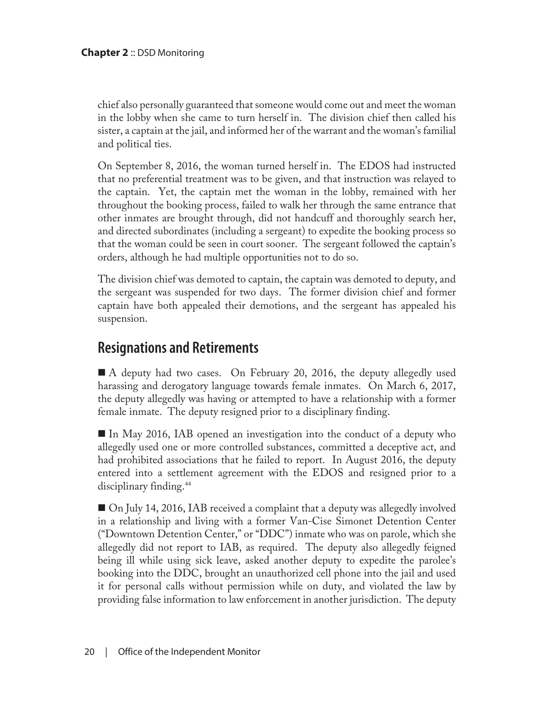and political ties. chief also personally guaranteed that someone would come out and meet the woman in the lobby when she came to turn herself in. The division chief then called his sister, a captain at the jail, and informed her of the warrant and the woman's familial

On September 8, 2016, the woman turned herself in. The EDOS had instructed that no preferential treatment was to be given, and that instruction was relayed to the captain. Yet, the captain met the woman in the lobby, remained with her throughout the booking process, failed to walk her through the same entrance that other inmates are brought through, did not handcuff and thoroughly search her, and directed subordinates (including a sergeant) to expedite the booking process so that the woman could be seen in court sooner. The sergeant followed the captain's orders, although he had multiple opportunities not to do so.

The division chief was demoted to captain, the captain was demoted to deputy, and the sergeant was suspended for two days. The former division chief and former captain have both appealed their demotions, and the sergeant has appealed his suspension.

#### **Resignations and Retirements**

 the deputy allegedly was having or attempted to have a relationship with a former ■ A deputy had two cases. On February 20, 2016, the deputy allegedly used harassing and derogatory language towards female inmates. On March 6, 2017, female inmate. The deputy resigned prior to a disciplinary finding.

 had prohibited associations that he failed to report. In August 2016, the deputy In May 2016, IAB opened an investigation into the conduct of a deputy who allegedly used one or more controlled substances, committed a deceptive act, and entered into a settlement agreement with the EDOS and resigned prior to a disciplinary [finding.44](https://finding.44)

 in a relationship and living with a former Van-Cise Simonet Detention Center On July 14, 2016, IAB received a complaint that a deputy was allegedly involved ("Downtown Detention Center," or "DDC") inmate who was on parole, which she allegedly did not report to IAB, as required. The deputy also allegedly feigned being ill while using sick leave, asked another deputy to expedite the parolee's booking into the DDC, brought an unauthorized cell phone into the jail and used it for personal calls without permission while on duty, and violated the law by providing false information to law enforcement in another jurisdiction. The deputy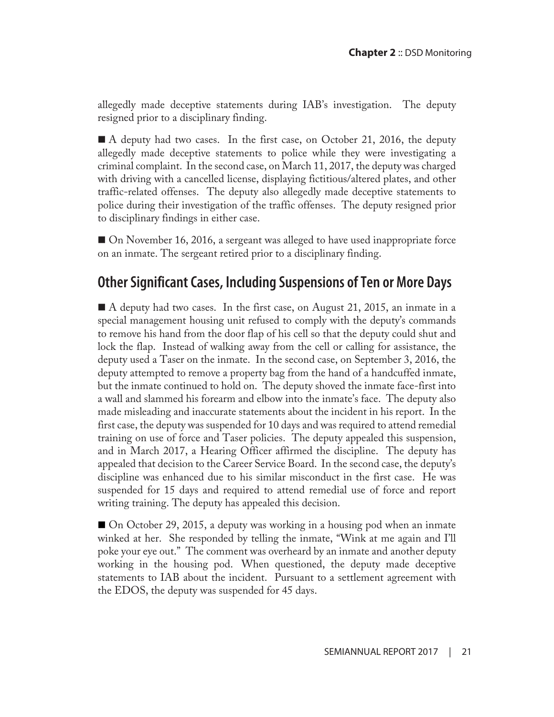allegedly made deceptive statements during IAB's investigation. The deputy resigned prior to a disciplinary finding.

 traffic-related offenses. The deputy also allegedly made deceptive statements to ■ A deputy had two cases. In the first case, on October 21, 2016, the deputy allegedly made deceptive statements to police while they were investigating a criminal complaint. In the second case, on March 11, 2017, the deputy was charged with driving with a cancelled license, displaying fictitious/altered plates, and other police during their investigation of the traffic offenses. The deputy resigned prior to disciplinary findings in either case.

■ On November 16, 2016, a sergeant was alleged to have used inappropriate force on an inmate. The sergeant retired prior to a disciplinary finding.

#### **Other Significant Cases, Including Suspensions of Ten or More Days**

 but the inmate continued to hold on. The deputy shoved the inmate face-first into and in March 2017, a Hearing Officer affirmed the discipline. The deputy has discipline was enhanced due to his similar misconduct in the first case. He was A deputy had two cases. In the first case, on August 21, 2015, an inmate in a special management housing unit refused to comply with the deputy's commands to remove his hand from the door flap of his cell so that the deputy could shut and lock the flap. Instead of walking away from the cell or calling for assistance, the deputy used a Taser on the inmate. In the second case, on September 3, 2016, the deputy attempted to remove a property bag from the hand of a handcuffed inmate, a wall and slammed his forearm and elbow into the inmate's face. The deputy also made misleading and inaccurate statements about the incident in his report. In the first case, the deputy was suspended for 10 days and was required to attend remedial training on use of force and Taser policies. The deputy appealed this suspension, appealed that decision to the Career Service Board. In the second case, the deputy's suspended for 15 days and required to attend remedial use of force and report writing training. The deputy has appealed this decision.

 winked at her. She responded by telling the inmate, "Wink at me again and I'll ■ On October 29, 2015, a deputy was working in a housing pod when an inmate poke your eye out." The comment was overheard by an inmate and another deputy working in the housing pod. When questioned, the deputy made deceptive statements to IAB about the incident. Pursuant to a settlement agreement with the EDOS, the deputy was suspended for 45 days.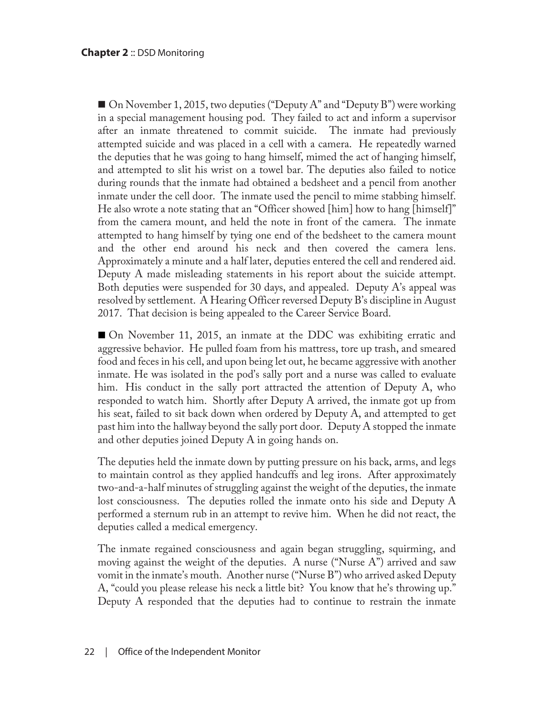the deputies that he was going to hang himself, mimed the act of hanging himself, inmate under the cell door. The inmate used the pencil to mime stabbing himself. Approximately a minute and a half later, deputies entered the cell and rendered aid. Both deputies were suspended for 30 days, and appealed. Deputy A's appeal was resolved by settlement. A Hearing Officer reversed Deputy B's discipline in August  $\blacksquare$  On November 1, 2015, two deputies ("Deputy A" and "Deputy B") were working in a special management housing pod. They failed to act and inform a supervisor after an inmate threatened to commit suicide. The inmate had previously attempted suicide and was placed in a cell with a camera. He repeatedly warned and attempted to slit his wrist on a towel bar. The deputies also failed to notice during rounds that the inmate had obtained a bedsheet and a pencil from another He also wrote a note stating that an "Officer showed [him] how to hang [himself]" from the camera mount, and held the note in front of the camera. The inmate attempted to hang himself by tying one end of the bedsheet to the camera mount and the other end around his neck and then covered the camera lens. Approximately a minute and a half later, deputies entered the cell and rendered aid.<br>Deputy A made misleading statements in his report about the suicide attempt.<br>Both deputies were suspended for 30 days, and appealed. Depu 2017. That decision is being appealed to the Career Service Board.

 aggressive behavior. He pulled foam from his mattress, tore up trash, and smeared food and feces in his cell, and upon being let out, he became aggressive with another responded to watch him. Shortly after Deputy A arrived, the inmate got up from past him into the hallway beyond the sally port door. Deputy A stopped the inmate On November 11, 2015, an inmate at the DDC was exhibiting erratic and inmate. He was isolated in the pod's sally port and a nurse was called to evaluate him. His conduct in the sally port attracted the attention of Deputy A, who his seat, failed to sit back down when ordered by Deputy A, and attempted to get and other deputies joined Deputy A in going hands on.

 The deputies held the inmate down by putting pressure on his back, arms, and legs to maintain control as they applied handcuffs and leg irons. After approximately lost consciousness. The deputies rolled the inmate onto his side and Deputy A performed a sternum rub in an attempt to revive him. When he did not react, the deputies called a medical emergency. two-and-a-half minutes of struggling against the weight of the deputies, the inmate

 moving against the weight of the deputies. A nurse ("Nurse A") arrived and saw vomit in the inmate's mouth. Another nurse ("Nurse B") who arrived asked Deputy A, "could you please release his neck a little bit? You know that he's throwing up." The inmate regained consciousness and again began struggling, squirming, and Deputy A responded that the deputies had to continue to restrain the inmate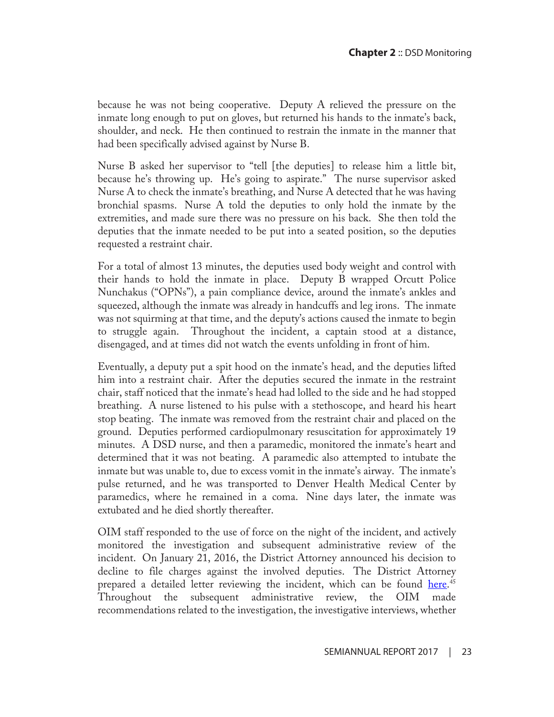because he was not being cooperative. Deputy A relieved the pressure on the had been specifically advised against by Nurse B. inmate long enough to put on gloves, but returned his hands to the inmate's back, shoulder, and neck. He then continued to restrain the inmate in the manner that

 because he's throwing up. He's going to aspirate." The nurse supervisor asked bronchial spasms. Nurse A told the deputies to only hold the inmate by the requested a restraint chair. Nurse B asked her supervisor to "tell [the deputies] to release him a little bit, Nurse A to check the inmate's breathing, and Nurse A detected that he was having extremities, and made sure there was no pressure on his back. She then told the deputies that the inmate needed to be put into a seated position, so the deputies

 their hands to hold the inmate in place. Deputy B wrapped Orcutt Police squeezed, although the inmate was already in handcuffs and leg irons. The inmate to struggle again. Throughout the incident, a captain stood at a distance, disengaged, and at times did not watch the events unfolding in front of him. For a total of almost 13 minutes, the deputies used body weight and control with Nunchakus ("OPNs"), a pain compliance device, around the inmate's ankles and was not squirming at that time, and the deputy's actions caused the inmate to begin

 him into a restraint chair. After the deputies secured the inmate in the restraint breathing. A nurse listened to his pulse with a stethoscope, and heard his heart stop beating. The inmate was removed from the restraint chair and placed on the ground. Deputies performed cardiopulmonary resuscitation for approximately 19 minutes. A DSD nurse, and then a paramedic, monitored the inmate's heart and paramedics, where he remained in a coma. Nine days later, the inmate was Eventually, a deputy put a spit hood on the inmate's head, and the deputies lifted chair, staff noticed that the inmate's head had lolled to the side and he had stopped determined that it was not beating. A paramedic also attempted to intubate the inmate but was unable to, due to excess vomit in the inmate's airway. The inmate's pulse returned, and he was transported to Denver Health Medical Center by extubated and he died shortly thereafter.

 incident. On January 21, 2016, the District Attorney announced his decision to decline to file charges against the involved deputies. The District Attorney prepared a detailed letter reviewing the incident, which can be found <u>here</u>.<sup>45</sup> OIM staff responded to the use of force on the night of the incident, and actively monitored the investigation and subsequent administrative review of the Throughout the subsequent administrative review, the OIM made recommendations related to the investigation, the investigative interviews, whether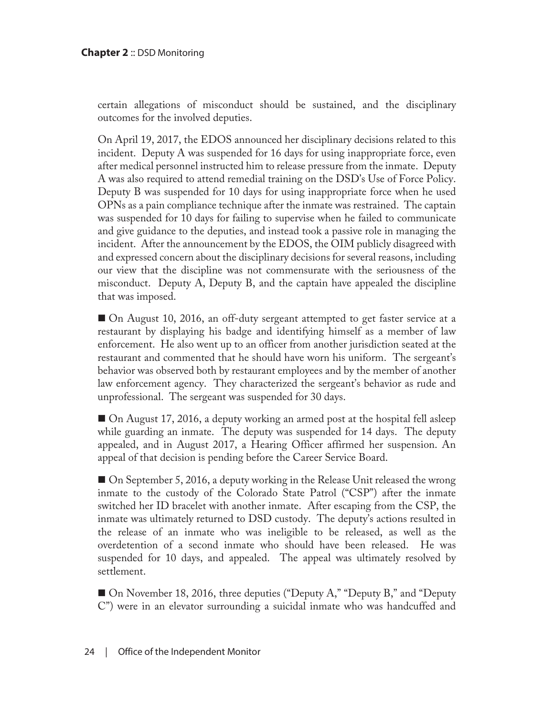certain allegations of misconduct should be sustained, and the disciplinary

 incident. Deputy A was suspended for 16 days for using inappropriate force, even after medical personnel instructed him to release pressure from the inmate. Deputy A was also required to attend remedial training on the DSD's Use of Force Policy. OPNs as a pain compliance technique after the inmate was restrained. The captain incident. After the announcement by the EDOS, the OIM publicly disagreed with misconduct. Deputy A, Deputy B, and the captain have appealed the discipline outcomes for the involved deputies. On April 19, 2017, the EDOS announced her disciplinary decisions related to this Deputy B was suspended for 10 days for using inappropriate force when he used was suspended for 10 days for failing to supervise when he failed to communicate and give guidance to the deputies, and instead took a passive role in managing the and expressed concern about the disciplinary decisions for several reasons, including our view that the discipline was not commensurate with the seriousness of the that was imposed.

 behavior was observed both by restaurant employees and by the member of another ■ On August 10, 2016, an off-duty sergeant attempted to get faster service at a restaurant by displaying his badge and identifying himself as a member of law enforcement. He also went up to an officer from another jurisdiction seated at the restaurant and commented that he should have worn his uniform. The sergeant's law enforcement agency. They characterized the sergeant's behavior as rude and unprofessional. The sergeant was suspended for 30 days.

 On August 17, 2016, a deputy working an armed post at the hospital fell asleep while guarding an inmate. The deputy was suspended for 14 days. The deputy appealed, and in August 2017, a Hearing Officer affirmed her suspension. An appeal of that decision is pending before the Career Service Board.

 switched her ID bracelet with another inmate. After escaping from the CSP, the inmate was ultimately returned to DSD custody. The deputy's actions resulted in overdetention of a second inmate who should have been released. He was On September 5, 2016, a deputy working in the Release Unit released the wrong inmate to the custody of the Colorado State Patrol ("CSP") after the inmate the release of an inmate who was ineligible to be released, as well as the suspended for 10 days, and appealed. The appeal was ultimately resolved by settlement.

■ On November 18, 2016, three deputies ("Deputy A," "Deputy B," and "Deputy C") were in an elevator surrounding a suicidal inmate who was handcuffed and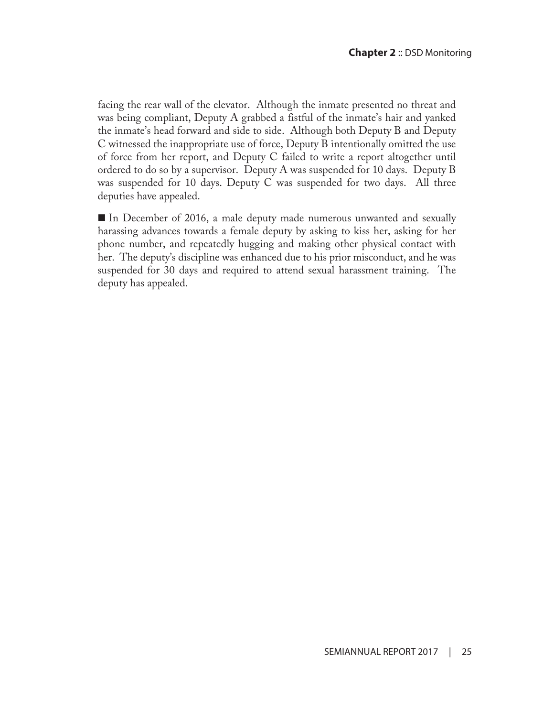was being compliant, Deputy A grabbed a fistful of the inmate's hair and yanked the inmate's head forward and side to side. Although both Deputy B and Deputy ordered to do so by a supervisor. Deputy A was suspended for 10 days. Deputy B was suspended for 10 days. Deputy C was suspended for two days. All three facing the rear wall of the elevator. Although the inmate presented no threat and C witnessed the inappropriate use of force, Deputy B intentionally omitted the use of force from her report, and Deputy C failed to write a report altogether until deputies have appealed.

 suspended for 30 days and required to attend sexual harassment training. The ■ In December of 2016, a male deputy made numerous unwanted and sexually harassing advances towards a female deputy by asking to kiss her, asking for her phone number, and repeatedly hugging and making other physical contact with her. The deputy's discipline was enhanced due to his prior misconduct, and he was deputy has appealed.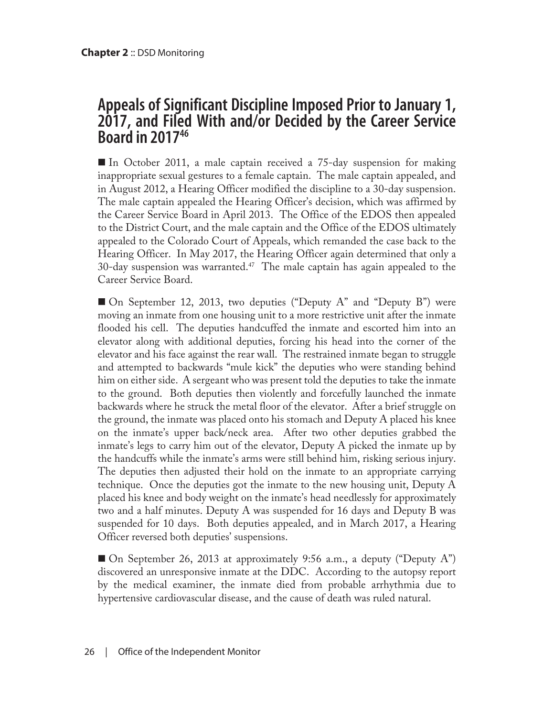#### **Appeals of Significant Discipline Imposed Prior to January 1, 2017, and Filed With and/or Decided by the Career Service Board in 201746**

in August 2012, a Hearing Officer modified the discipline to a 30-day suspension. 30-day suspension was [warranted.](https://warranted.47) 47 The male captain has again appealed to the Career Service Board. In October 2011, a male captain received a 75-day suspension for making inappropriate sexual gestures to a female captain. The male captain appealed, and The male captain appealed the Hearing Officer's decision, which was affirmed by the Career Service Board in April 2013. The Office of the EDOS then appealed to the District Court, and the male captain and the Office of the EDOS ultimately appealed to the Colorado Court of Appeals, which remanded the case back to the Hearing Officer. In May 2017, the Hearing Officer again determined that only a

 and attempted to backwards "mule kick" the deputies who were standing behind the handcuffs while the inmate's arms were still behind him, risking serious injury. technique. Once the deputies got the inmate to the new housing unit, Deputy A ■ On September 12, 2013, two deputies ("Deputy A" and "Deputy B") were moving an inmate from one housing unit to a more restrictive unit after the inmate flooded his cell. The deputies handcuffed the inmate and escorted him into an elevator along with additional deputies, forcing his head into the corner of the elevator and his face against the rear wall. The restrained inmate began to struggle him on either side. A sergeant who was present told the deputies to take the inmate to the ground. Both deputies then violently and forcefully launched the inmate backwards where he struck the metal floor of the elevator. After a brief struggle on the ground, the inmate was placed onto his stomach and Deputy A placed his knee on the inmate's upper back/neck area. After two other deputies grabbed the inmate's legs to carry him out of the elevator, Deputy A picked the inmate up by The deputies then adjusted their hold on the inmate to an appropriate carrying placed his knee and body weight on the inmate's head needlessly for approximately two and a half minutes. Deputy A was suspended for 16 days and Deputy B was suspended for 10 days. Both deputies appealed, and in March 2017, a Hearing Officer reversed both deputies' suspensions.

■ On September 26, 2013 at approximately 9:56 a.m., a deputy ("Deputy A") discovered an unresponsive inmate at the DDC. According to the autopsy report hypertensive cardiovascular disease, and the cause of death was ruled natural. by the medical examiner, the inmate died from probable arrhythmia due to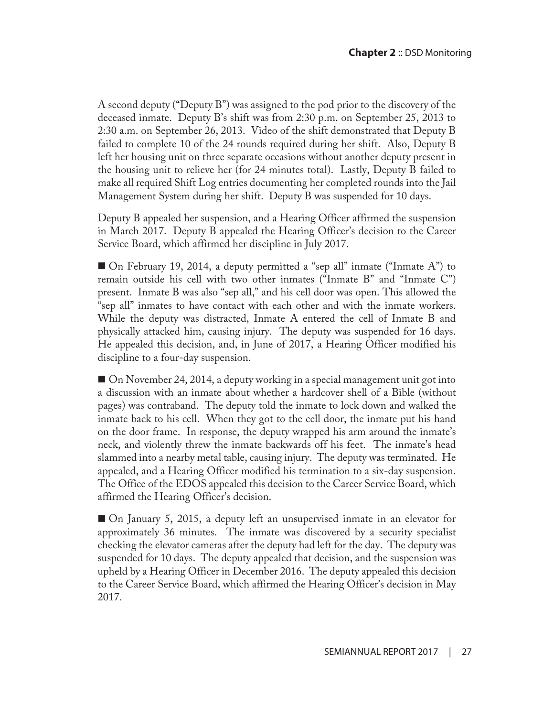deceased inmate. Deputy B's shift was from 2:30 p.m. on September 25, 2013 to 2:30 a.m. on September 26, 2013. Video of the shift demonstrated that Deputy B A second deputy ("Deputy B") was assigned to the pod prior to the discovery of the failed to complete 10 of the 24 rounds required during her shift. Also, Deputy B left her housing unit on three separate occasions without another deputy present in the housing unit to relieve her (for 24 minutes total). Lastly, Deputy B failed to make all required Shift Log entries documenting her completed rounds into the Jail Management System during her shift. Deputy B was suspended for 10 days.

Deputy B appealed her suspension, and a Hearing Officer affirmed the suspension in March 2017. Deputy B appealed the Hearing Officer's decision to the Career Service Board, which affirmed her discipline in July 2017.

■ On February 19, 2014, a deputy permitted a "sep all" inmate ("Inmate A") to "sep all" inmates to have contact with each other and with the inmate workers. physically attacked him, causing injury. The deputy was suspended for 16 days. remain outside his cell with two other inmates ("Inmate B" and "Inmate C") present. Inmate B was also "sep all," and his cell door was open. This allowed the While the deputy was distracted, Inmate A entered the cell of Inmate B and He appealed this decision, and, in June of 2017, a Hearing Officer modified his discipline to a four-day suspension.

 a discussion with an inmate about whether a hardcover shell of a Bible (without pages) was contraband. The deputy told the inmate to lock down and walked the neck, and violently threw the inmate backwards off his feet. The inmate's head affirmed the Hearing Officer's decision. On November 24, 2014, a deputy working in a special management unit got into inmate back to his cell. When they got to the cell door, the inmate put his hand on the door frame. In response, the deputy wrapped his arm around the inmate's slammed into a nearby metal table, causing injury. The deputy was terminated. He appealed, and a Hearing Officer modified his termination to a six-day suspension. The Office of the EDOS appealed this decision to the Career Service Board, which

 On January 5, 2015, a deputy left an unsupervised inmate in an elevator for approximately 36 minutes. The inmate was discovered by a security specialist checking the elevator cameras after the deputy had left for the day. The deputy was suspended for 10 days. The deputy appealed that decision, and the suspension was upheld by a Hearing Officer in December 2016. The deputy appealed this decision to the Career Service Board, which affirmed the Hearing Officer's decision in May 2017.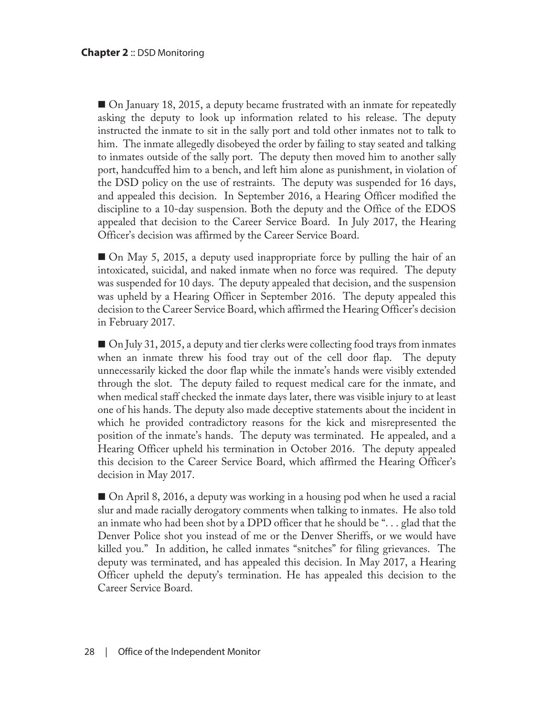appealed that decision to the Career Service Board. In July 2017, the Hearing On January 18, 2015, a deputy became frustrated with an inmate for repeatedly asking the deputy to look up information related to his release. The deputy instructed the inmate to sit in the sally port and told other inmates not to talk to him. The inmate allegedly disobeyed the order by failing to stay seated and talking to inmates outside of the sally port. The deputy then moved him to another sally port, handcuffed him to a bench, and left him alone as punishment, in violation of the DSD policy on the use of restraints. The deputy was suspended for 16 days, and appealed this decision. In September 2016, a Hearing Officer modified the discipline to a 10-day suspension. Both the deputy and the Office of the EDOS Officer's decision was affirmed by the Career Service Board.

■ On May 5, 2015, a deputy used inappropriate force by pulling the hair of an intoxicated, suicidal, and naked inmate when no force was required. The deputy was suspended for 10 days. The deputy appealed that decision, and the suspension was upheld by a Hearing Officer in September 2016. The deputy appealed this decision to the Career Service Board, which affirmed the Hearing Officer's decision in February 2017.

 Hearing Officer upheld his termination in October 2016. The deputy appealed this decision to the Career Service Board, which affirmed the Hearing Officer's On July 31, 2015, a deputy and tier clerks were collecting food trays from inmates when an inmate threw his food tray out of the cell door flap. The deputy unnecessarily kicked the door flap while the inmate's hands were visibly extended through the slot. The deputy failed to request medical care for the inmate, and when medical staff checked the inmate days later, there was visible injury to at least one of his hands. The deputy also made deceptive statements about the incident in which he provided contradictory reasons for the kick and misrepresented the position of the inmate's hands. The deputy was terminated. He appealed, and a decision in May 2017.

 Officer upheld the deputy's termination. He has appealed this decision to the Career Service Board. ■ On April 8, 2016, a deputy was working in a housing pod when he used a racial slur and made racially derogatory comments when talking to inmates. He also told an inmate who had been shot by a DPD officer that he should be ". . . glad that the Denver Police shot you instead of me or the Denver Sheriffs, or we would have killed you." In addition, he called inmates "snitches" for filing grievances. The deputy was terminated, and has appealed this decision. In May 2017, a Hearing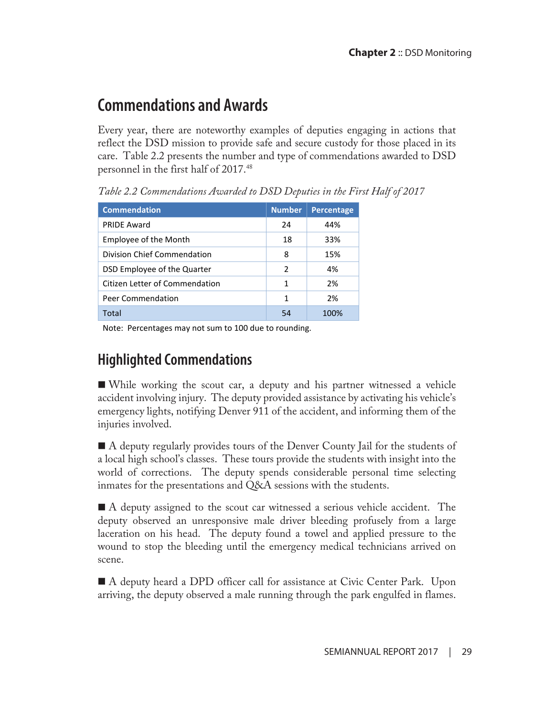# **Commendations and Awards**

Every year, there are noteworthy examples of deputies engaging in actions that reflect the DSD mission to provide safe and secure custody for those placed in its care. Table 2.2 presents the number and type of commendations awarded to DSD personnel in the first half of 2017.<sup>48</sup>

| <b>Commendation</b>            | <b>Number</b> | Percentage |
|--------------------------------|---------------|------------|
| <b>PRIDE Award</b>             | 24            | 44%        |
| Employee of the Month          | 18            | 33%        |
| Division Chief Commendation    | 8             | 15%        |
| DSD Employee of the Quarter    | $\mathcal{P}$ | 4%         |
| Citizen Letter of Commendation | 1             | 2%         |
| Peer Commendation              | 1             | 2%         |
| Total                          | 54            | 100%       |

 *Table 2.2 Commendations Awarded to DSD Deputies in the First Half of 2017* 

Note: Percentages may not sum to 100 due to rounding.

### **Highlighted Commendations**

 While working the scout car, a deputy and his partner witnessed a vehicle accident involving injury. The deputy provided assistance by activating his vehicle's emergency lights, notifying Denver 911 of the accident, and informing them of the injuries involved.

 A deputy regularly provides tours of the Denver County Jail for the students of a local high school's classes. These tours provide the students with insight into the world of corrections. The deputy spends considerable personal time selecting inmates for the presentations and Q&A sessions with the students.

 laceration on his head. The deputy found a towel and applied pressure to the ■ A deputy assigned to the scout car witnessed a serious vehicle accident. The deputy observed an unresponsive male driver bleeding profusely from a large wound to stop the bleeding until the emergency medical technicians arrived on scene.

 A deputy heard a DPD officer call for assistance at Civic Center Park. Upon arriving, the deputy observed a male running through the park engulfed in flames.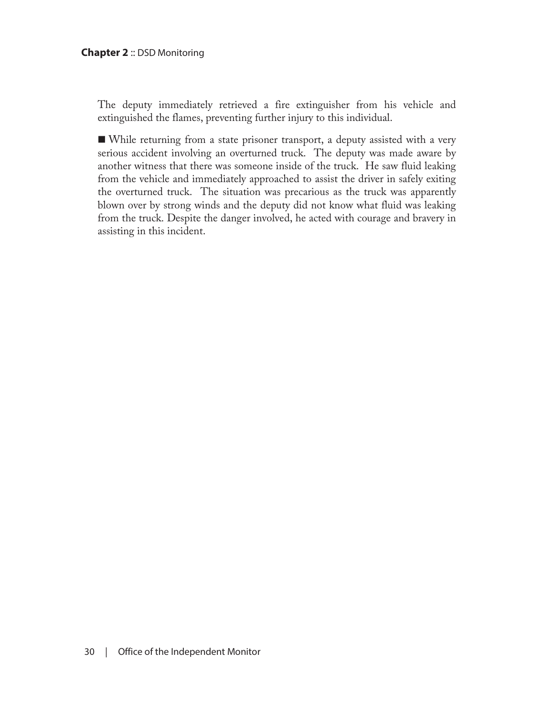The deputy immediately retrieved a fire extinguisher from his vehicle and extinguished the flames, preventing further injury to this individual.

 serious accident involving an overturned truck. The deputy was made aware by another witness that there was someone inside of the truck. He saw fluid leaking While returning from a state prisoner transport, a deputy assisted with a very from the vehicle and immediately approached to assist the driver in safely exiting the overturned truck. The situation was precarious as the truck was apparently blown over by strong winds and the deputy did not know what fluid was leaking from the truck. Despite the danger involved, he acted with courage and bravery in assisting in this incident.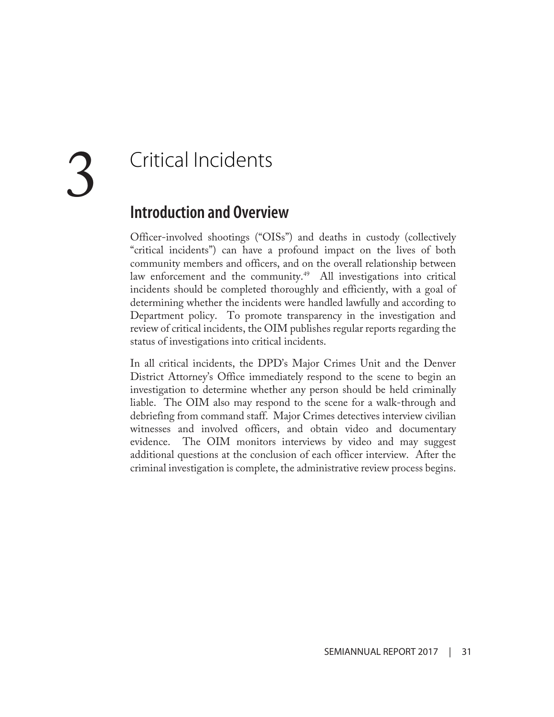# Critical Incidents

### **Introduction and Overview**

 Officer-involved shootings ("OISs") and deaths in custody (collectively "critical incidents") can have a profound impact on the lives of both law enforcement and the [community.49](https://community.49) All investigations into critical community members and officers, and on the overall relationship between incidents should be completed thoroughly and efficiently, with a goal of determining whether the incidents were handled lawfully and according to Department policy. To promote transparency in the investigation and review of critical incidents, the OIM publishes regular reports regarding the status of investigations into critical incidents.

In all critical incidents, the DPD's Major Crimes Unit and the Denver District Attorney's Office immediately respond to the scene to begin an investigation to determine whether any person should be held criminally liable. The OIM also may respond to the scene for a walk-through and debriefing from command staff. Major Crimes detectives interview civilian witnesses and involved officers, and obtain video and documentary evidence. The OIM monitors interviews by video and may suggest additional questions at the conclusion of each officer interview. After the criminal investigation is complete, the administrative review process begins.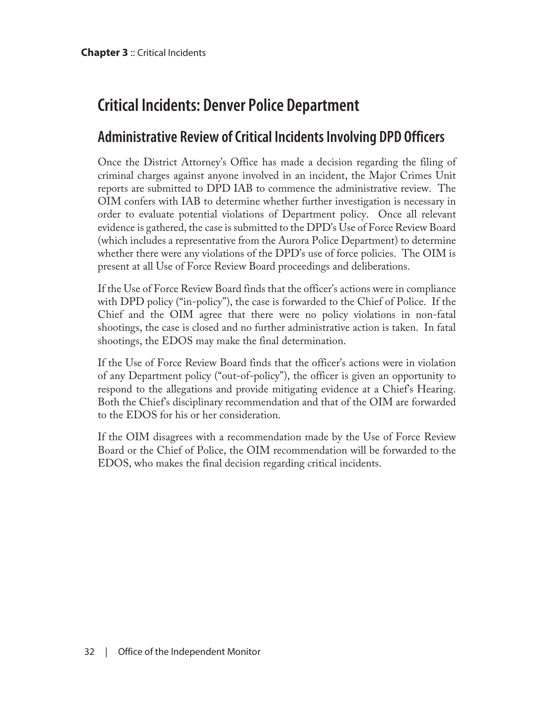# **Critical Incidents: Denver Police Department**

#### **Administrative Review of Critical Incidents Involving DPD Officers**

 whether there were any violations of the DPD's use of force policies. The OIM is Once the District Attorney's Office has made a decision regarding the filing of criminal charges against anyone involved in an incident, the Major Crimes Unit reports are submitted to DPD IAB to commence the administrative review. The OIM confers with IAB to determine whether further investigation is necessary in order to evaluate potential violations of Department policy. Once all relevant evidence is gathered, the case is submitted to the DPD's Use of Force Review Board (which includes a representative from the Aurora Police Department) to determine present at all Use of Force Review Board proceedings and deliberations.

 with DPD policy ("in-policy"), the case is forwarded to the Chief of Police. If the shootings, the EDOS may make the final determination. If the Use of Force Review Board finds that the officer's actions were in compliance Chief and the OIM agree that there were no policy violations in non-fatal shootings, the case is closed and no further administrative action is taken. In fatal

respond to the allegations and provide mitigating evidence at a Chief's Hearing. If the Use of Force Review Board finds that the officer's actions were in violation. of any Department policy ("out-of-policy"), the officer is given an opportunity to Both the Chief's disciplinary recommendation and that of the OIM are forwarded to the EDOS for his or her consideration.

 If the OIM disagrees with a recommendation made by the Use of Force Review Board or the Chief of Police, the OIM recommendation will be forwarded to the EDOS, who makes the final decision regarding critical incidents.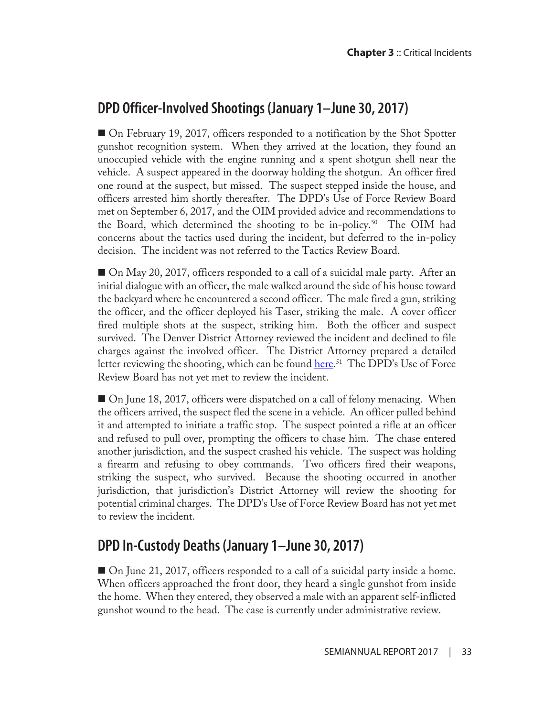#### **DPD Officer-Involved Shootings (January 1–June 30, 2017)**

 unoccupied vehicle with the engine running and a spent shotgun shell near the the Board, which determined the shooting to be [in-policy.](https://in-policy.50) 50 The OIM had concerns about the tactics used during the incident, but deferred to the in-policy On February 19, 2017, officers responded to a notification by the Shot Spotter gunshot recognition system. When they arrived at the location, they found an vehicle. A suspect appeared in the doorway holding the shotgun. An officer fired one round at the suspect, but missed. The suspect stepped inside the house, and officers arrested him shortly thereafter. The DPD's Use of Force Review Board met on September 6, 2017, and the OIM provided advice and recommendations to decision. The incident was not referred to the Tactics Review Board.

 initial dialogue with an officer, the male walked around the side of his house toward fired multiple shots at the suspect, striking him. Both the officer and suspect survived. The Denver District Attorney reviewed the incident and declined to file letter reviewing the shooting, which can be found <u>here</u>.<sup>51</sup> The DPD's Use of Force ■ On May 20, 2017, officers responded to a call of a suicidal male party. After an the backyard where he encountered a second officer. The male fired a gun, striking the officer, and the officer deployed his Taser, striking the male. A cover officer charges against the involved officer. The District Attorney prepared a detailed Review Board has not yet met to review the incident.

 the officers arrived, the suspect fled the scene in a vehicle. An officer pulled behind striking the suspect, who survived. Because the shooting occurred in another potential criminal charges. The DPD's Use of Force Review Board has not yet met On June 18, 2017, officers were dispatched on a call of felony menacing. When it and attempted to initiate a traffic stop. The suspect pointed a rifle at an officer and refused to pull over, prompting the officers to chase him. The chase entered another jurisdiction, and the suspect crashed his vehicle. The suspect was holding a firearm and refusing to obey commands. Two officers fired their weapons, jurisdiction, that jurisdiction's District Attorney will review the shooting for to review the incident.

#### **DPD In-Custody Deaths (January 1–June 30, 2017)**

 On June 21, 2017, officers responded to a call of a suicidal party inside a home. When officers approached the front door, they heard a single gunshot from inside the home. When they entered, they observed a male with an apparent self-inflicted gunshot wound to the head. The case is currently under administrative review.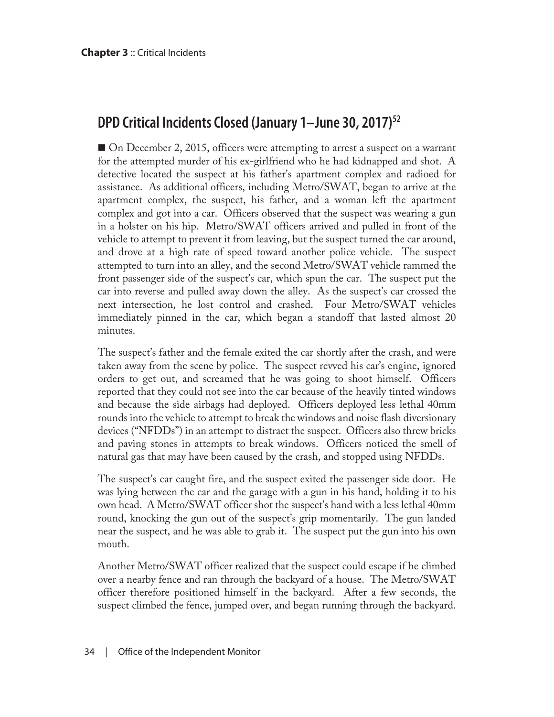#### **DPD Critical Incidents Closed (January 1–June 30, 2017)52**

 in a holster on his hip. Metro/SWAT officers arrived and pulled in front of the ■ On December 2, 2015, officers were attempting to arrest a suspect on a warrant for the attempted murder of his ex-girlfriend who he had kidnapped and shot. A detective located the suspect at his father's apartment complex and radioed for assistance. As additional officers, including Metro/SWAT, began to arrive at the apartment complex, the suspect, his father, and a woman left the apartment complex and got into a car. Officers observed that the suspect was wearing a gun vehicle to attempt to prevent it from leaving, but the suspect turned the car around, and drove at a high rate of speed toward another police vehicle. The suspect attempted to turn into an alley, and the second Metro/SWAT vehicle rammed the front passenger side of the suspect's car, which spun the car. The suspect put the car into reverse and pulled away down the alley. As the suspect's car crossed the next intersection, he lost control and crashed. Four Metro/SWAT vehicles immediately pinned in the car, which began a standoff that lasted almost 20 minutes.

 taken away from the scene by police. The suspect revved his car's engine, ignored devices ("NFDDs") in an attempt to distract the suspect. Officers also threw bricks The suspect's father and the female exited the car shortly after the crash, and were orders to get out, and screamed that he was going to shoot himself. Officers reported that they could not see into the car because of the heavily tinted windows and because the side airbags had deployed. Officers deployed less lethal 40mm rounds into the vehicle to attempt to break the windows and noise flash diversionary and paving stones in attempts to break windows. Officers noticed the smell of natural gas that may have been caused by the crash, and stopped using NFDDs.

 The suspect's car caught fire, and the suspect exited the passenger side door. He round, knocking the gun out of the suspect's grip momentarily. The gun landed was lying between the car and the garage with a gun in his hand, holding it to his own head. A Metro/SWAT officer shot the suspect's hand with a less lethal 40mm near the suspect, and he was able to grab it. The suspect put the gun into his own

 officer therefore positioned himself in the backyard. After a few seconds, the suspect climbed the fence, jumped over, and began running through the backyard. mouth. Another Metro/SWAT officer realized that the suspect could escape if he climbed over a nearby fence and ran through the backyard of a house. The Metro/SWAT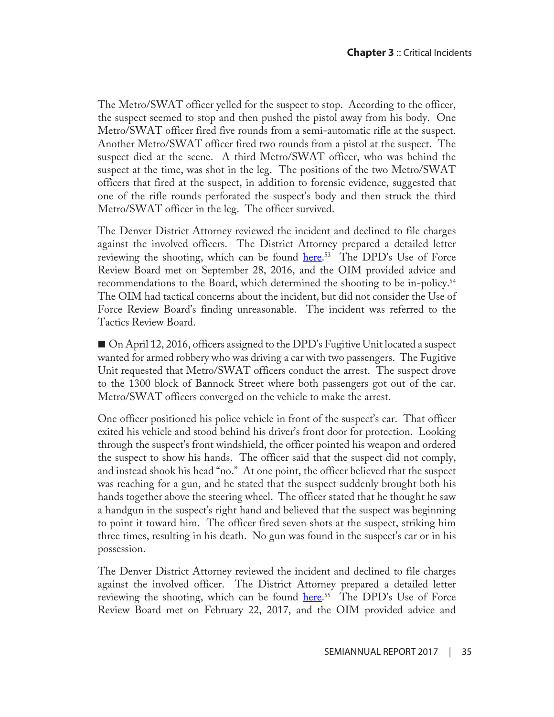Metro/SWAT officer fired five rounds from a semi-automatic rifle at the suspect. suspect died at the scene. A third Metro/SWAT officer, who was behind the The Metro/SWAT officer yelled for the suspect to stop. According to the officer, the suspect seemed to stop and then pushed the pistol away from his body. One Another Metro/SWAT officer fired two rounds from a pistol at the suspect. The suspect at the time, was shot in the leg. The positions of the two Metro/SWAT officers that fired at the suspect, in addition to forensic evidence, suggested that one of the rifle rounds perforated the suspect's body and then struck the third Metro/SWAT officer in the leg. The officer survived.

reviewing the shooting, which can be found <u>here</u>.<sup>33</sup> The DPD's Use of Force recommendations to the Board, which determined the shooting to be [in-policy.54](https://in-policy.54) Force Review Board's finding unreasonable. The incident was referred to the The Denver District Attorney reviewed the incident and declined to file charges against the involved officers. The District Attorney prepared a detailed letter Review Board met on September 28, 2016, and the OIM provided advice and The OIM had tactical concerns about the incident, but did not consider the Use of Tactics Review Board.

 to the 1300 block of Bannock Street where both passengers got out of the car. Metro/SWAT officers converged on the vehicle to make the arrest. On April 12, 2016, officers assigned to the DPD's Fugitive Unit located a suspect wanted for armed robbery who was driving a car with two passengers. The Fugitive Unit requested that Metro/SWAT officers conduct the arrest. The suspect drove

 Metro/SWAT officers converged on the vehicle to make the arrest. One officer positioned his police vehicle in front of the suspect's car. That officer exited his vehicle and stood behind his driver's front door for protection. Looking through the suspect's front windshield, the officer pointed his weapon and ordered to point it toward him. The officer fired seven shots at the suspect, striking him three times, resulting in his death. No gun was found in the suspect's car or in his possession. the suspect to show his hands. The officer said that the suspect did not comply, and instead shook his head "no." At one point, the officer believed that the suspect was reaching for a gun, and he stated that the suspect suddenly brought both his hands together above the steering wheel. The officer stated that he thought he saw a handgun in the suspect's right hand and believed that the suspect was beginning

possession.<br>The Denver District Attorney reviewed the incident and declined to file charges reviewing the shooting, which can be found <u>here.<sup>55</sup></u> The DPD's Use of Force against the involved officer. The District Attorney prepared a detailed letter Review Board met on February 22, 2017, and the OIM provided advice and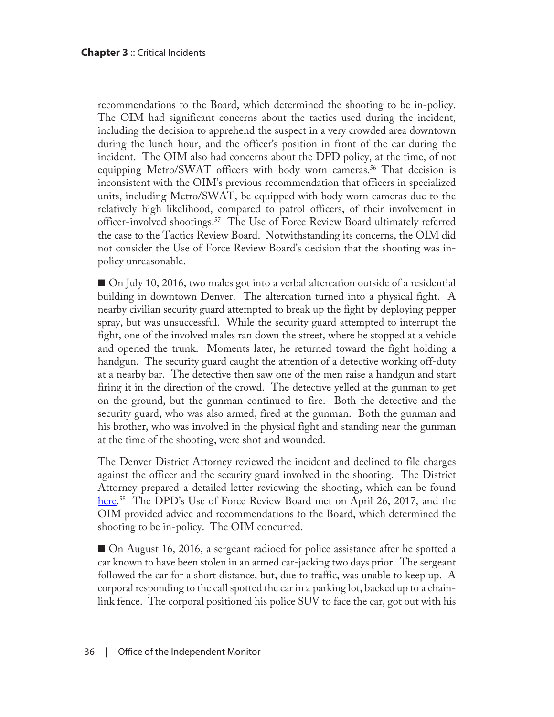incident. The OIM also had concerns about the DPD policy, at the time, of not officer-involved [shootings.57](https://shootings.57) The Use of Force Review Board ultimately referred the case to the Tactics Review Board. Notwithstanding its concerns, the OIM did recommendations to the Board, which determined the shooting to be in-policy. The OIM had significant concerns about the tactics used during the incident, including the decision to apprehend the suspect in a very crowded area downtown during the lunch hour, and the officer's position in front of the car during the equipping Metro/SWAT officers with body worn cameras.<sup>56</sup> That decision is inconsistent with the OIM's previous recommendation that officers in specialized units, including Metro/SWAT, be equipped with body worn cameras due to the relatively high likelihood, compared to patrol officers, of their involvement in not consider the Use of Force Review Board's decision that the shooting was inpolicy unreasonable.

 building in downtown Denver. The altercation turned into a physical fight. A and opened the trunk. Moments later, he returned toward the fight holding a on the ground, but the gunman continued to fire. Both the detective and the at the time of the shooting, were shot and wounded. ■ On July 10, 2016, two males got into a verbal altercation outside of a residential nearby civilian security guard attempted to break up the fight by deploying pepper spray, but was unsuccessful. While the security guard attempted to interrupt the fight, one of the involved males ran down the street, where he stopped at a vehicle handgun. The security guard caught the attention of a detective working off-duty at a nearby bar. The detective then saw one of the men raise a handgun and start firing it in the direction of the crowd. The detective yelled at the gunman to get security guard, who was also armed, fired at the gunman. Both the gunman and his brother, who was involved in the physical fight and standing near the gunman

here.<sup>58</sup> The DPD's Use of Force Review Board met on April 26, 2017, and the The Denver District Attorney reviewed the incident and declined to file charges against the officer and the security guard involved in the shooting. The District Attorney prepared a detailed letter reviewing the shooting, which can be found OIM provided advice and recommendations to the Board, which determined the shooting to be in-policy. The OIM concurred.

 followed the car for a short distance, but, due to traffic, was unable to keep up. A On August 16, 2016, a sergeant radioed for police assistance after he spotted a car known to have been stolen in an armed car-jacking two days prior. The sergeant corporal responding to the call spotted the car in a parking lot, backed up to a chainlink fence. The corporal positioned his police SUV to face the car, got out with his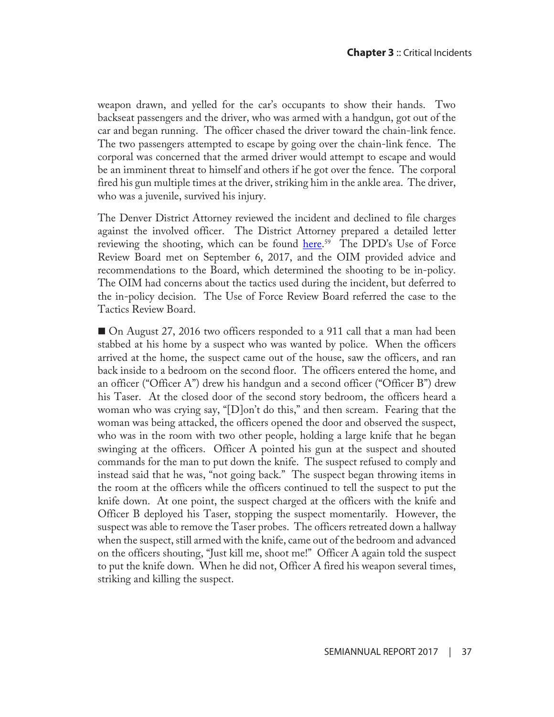car and began running. The officer chased the driver toward the chain-link fence. who was a juvenile, survived his injury. weapon drawn, and yelled for the car's occupants to show their hands. Two backseat passengers and the driver, who was armed with a handgun, got out of the The two passengers attempted to escape by going over the chain-link fence. The corporal was concerned that the armed driver would attempt to escape and would be an imminent threat to himself and others if he got over the fence. The corporal fired his gun multiple times at the driver, striking him in the ankle area. The driver,

reviewing the shooting, which can be found <u>here</u>.<sup>59</sup> The DPD's Use of Force the in-policy decision. The Use of Force Review Board referred the case to the The Denver District Attorney reviewed the incident and declined to file charges against the involved officer. The District Attorney prepared a detailed letter Review Board met on September 6, 2017, and the OIM provided advice and recommendations to the Board, which determined the shooting to be in-policy. The OIM had concerns about the tactics used during the incident, but deferred to Tactics Review Board.

 commands for the man to put down the knife. The suspect refused to comply and instead said that he was, "not going back." The suspect began throwing items in suspect was able to remove the Taser probes. The officers retreated down a hallway to put the knife down. When he did not, Officer A fired his weapon several times, striking and killing the suspect. On August 27, 2016 two officers responded to a 911 call that a man had been stabbed at his home by a suspect who was wanted by police. When the officers arrived at the home, the suspect came out of the house, saw the officers, and ran back inside to a bedroom on the second floor. The officers entered the home, and an officer ("Officer A") drew his handgun and a second officer ("Officer B") drew his Taser. At the closed door of the second story bedroom, the officers heard a woman who was crying say, " $[D]$ on't do this," and then scream. Fearing that the woman was being attacked, the officers opened the door and observed the suspect, who was in the room with two other people, holding a large knife that he began swinging at the officers. Officer A pointed his gun at the suspect and shouted the room at the officers while the officers continued to tell the suspect to put the knife down. At one point, the suspect charged at the officers with the knife and Officer B deployed his Taser, stopping the suspect momentarily. However, the when the suspect, still armed with the knife, came out of the bedroom and advanced on the officers shouting, "Just kill me, shoot me!" Officer A again told the suspect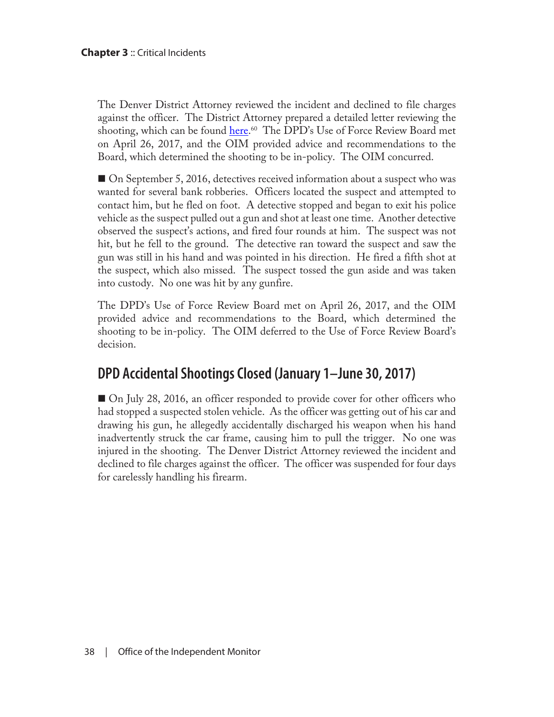shooting, which can be found <u>here</u>.<sup>60</sup> The DPD's Use of Force Review Board met The Denver District Attorney reviewed the incident and declined to file charges against the officer. The District Attorney prepared a detailed letter reviewing the on April 26, 2017, and the OIM provided advice and recommendations to the Board, which determined the shooting to be in-policy. The OIM concurred.

 contact him, but he fled on foot. A detective stopped and began to exit his police hit, but he fell to the ground. The detective ran toward the suspect and saw the into custody. No one was hit by any gunfire. On September 5, 2016, detectives received information about a suspect who was wanted for several bank robberies. Officers located the suspect and attempted to vehicle as the suspect pulled out a gun and shot at least one time. Another detective observed the suspect's actions, and fired four rounds at him. The suspect was not gun was still in his hand and was pointed in his direction. He fired a fifth shot at the suspect, which also missed. The suspect tossed the gun aside and was taken

The DPD's Use of Force Review Board met on April 26, 2017, and the OIM provided advice and recommendations to the Board, which determined the shooting to be in-policy. The OIM deferred to the Use of Force Review Board's decision.

#### **DPD Accidental Shootings Closed (January 1–June 30, 2017)**

 injured in the shooting. The Denver District Attorney reviewed the incident and On July 28, 2016, an officer responded to provide cover for other officers who had stopped a suspected stolen vehicle. As the officer was getting out of his car and drawing his gun, he allegedly accidentally discharged his weapon when his hand inadvertently struck the car frame, causing him to pull the trigger. No one was declined to file charges against the officer. The officer was suspended for four days for carelessly handling his firearm.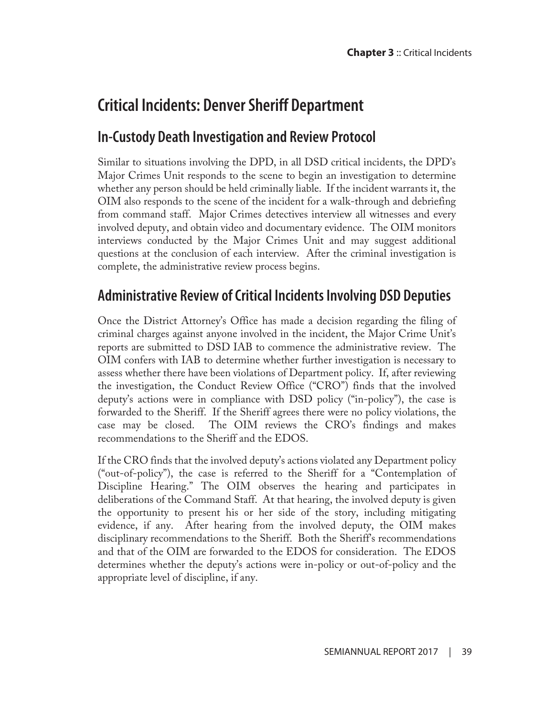## **Critical Incidents: Denver Sheriff Department**

#### **In-Custody Death Investigation and Review Protocol**

 from command staff. Major Crimes detectives interview all witnesses and every involved deputy, and obtain video and documentary evidence. The OIM monitors Similar to situations involving the DPD, in all DSD critical incidents, the DPD's Major Crimes Unit responds to the scene to begin an investigation to determine whether any person should be held criminally liable. If the incident warrants it, the OIM also responds to the scene of the incident for a walk-through and debriefing interviews conducted by the Major Crimes Unit and may suggest additional questions at the conclusion of each interview. After the criminal investigation is complete, the administrative review process begins.

#### **Administrative Review of Critical Incidents Involving DSD Deputies**

Once the District Attorney's Office has made a decision regarding the filing of criminal charges against anyone involved in the incident, the Major Crime Unit's reports are submitted to DSD IAB to commence the administrative review. The OIM confers with IAB to determine whether further investigation is necessary to assess whether there have been violations of Department policy. If, after reviewing the investigation, the Conduct Review Office ("CRO") finds that the involved deputy's actions were in compliance with DSD policy ("in-policy"), the case is forwarded to the Sheriff. If the Sheriff agrees there were no policy violations, the case may be closed. The OIM reviews the CRO's findings and makes recommendations to the Sheriff and the EDOS.

If the CRO finds that the involved deputy's actions violated any Department policy ("out-of-policy"), the case is referred to the Sheriff for a "Contemplation of Discipline Hearing." The OIM observes the hearing and participates in deliberations of the Command Staff. At that hearing, the involved deputy is given the opportunity to present his or her side of the story, including mitigating evidence, if any. After hearing from the involved deputy, the OIM makes disciplinary recommendations to the Sheriff. Both the Sheriff's recommendations and that of the OIM are forwarded to the EDOS for consideration. The EDOS determines whether the deputy's actions were in-policy or out-of-policy and the appropriate level of discipline, if any.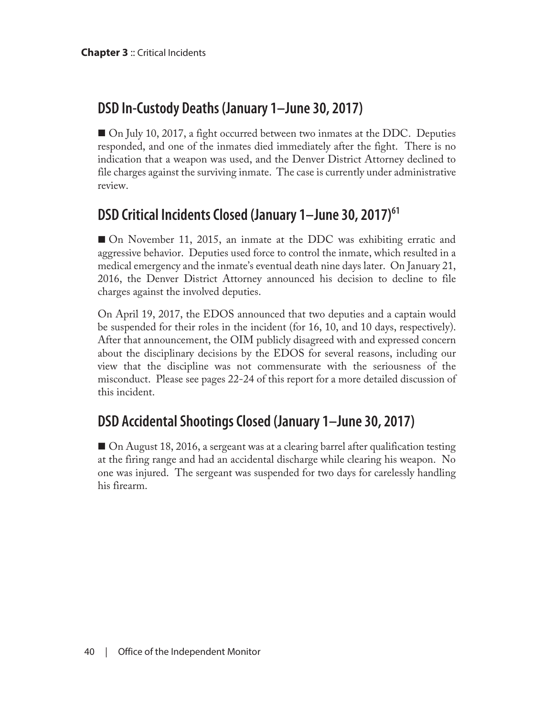### **DSD In-Custody Deaths (January 1–June 30, 2017)**

 file charges against the surviving inmate. The case is currently under administrative ■ On July 10, 2017, a fight occurred between two inmates at the DDC. Deputies responded, and one of the inmates died immediately after the fight. There is no indication that a weapon was used, and the Denver District Attorney declined to review.

### **DSD Critical Incidents Closed (January 1–June 30, 2017)61**

 medical emergency and the inmate's eventual death nine days later. On January 21, On November 11, 2015, an inmate at the DDC was exhibiting erratic and aggressive behavior. Deputies used force to control the inmate, which resulted in a 2016, the Denver District Attorney announced his decision to decline to file charges against the involved deputies.

be suspended for their roles in the incident (for 16, 10, and 10 days, respectively). misconduct. Please see pages 22-24 of this report for a more detailed discussion of On April 19, 2017, the EDOS announced that two deputies and a captain would After that announcement, the OIM publicly disagreed with and expressed concern about the disciplinary decisions by the EDOS for several reasons, including our view that the discipline was not commensurate with the seriousness of the this incident.

### **DSD Accidental Shootings Closed (January 1–June 30, 2017)**

■ On August 18, 2016, a sergeant was at a clearing barrel after qualification testing at the firing range and had an accidental discharge while clearing his weapon. No one was injured. The sergeant was suspended for two days for carelessly handling his firearm.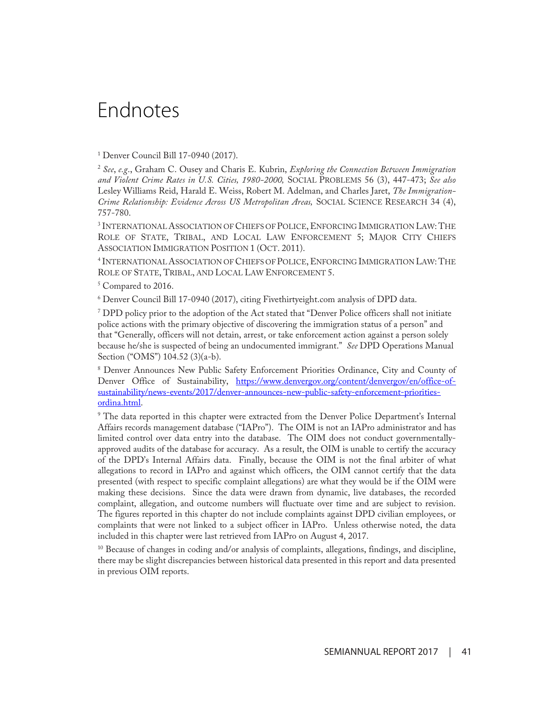# Endnotes

#### 1 Denver Council Bill 17-0940 (2017).

 <sup>2</sup>*See*, *e.g*., Graham C. Ousey and Charis E. Kubrin, *Exploring the Connection Between Immigration and Violent Crime Rates in U.S. Cities, 1980-2000,* SOCIAL PROBLEMS 56 (3), 447-473; *See also*  Lesley Williams Reid, Harald E. Weiss, Robert M. Adelman, and Charles Jaret, *The Immigration-Crime Relationship: Evidence Across US Metropolitan Areas,* SOCIAL SCIENCE RESEARCH 34 (4), 757-780.

 ROLE OF STATE, TRIBAL, AND LOCAL LAW ENFORCEMENT 5; MAJOR CITY CHIEFS ASSOCIATION IMMIGRATION POSITION 1 (OCT. 2011). 3 INTERNATIONAL ASSOCIATION OF CHIEFS OF POLICE, ENFORCING IMMIGRATION LAW: THE

ROLE OF STATE, TRIBAL, AND LOCAL LAW ENFORCEMENT 5. 4 INTERNATIONAL ASSOCIATION OF CHIEFS OF POLICE, ENFORCING IMMIGRATION LAW: THE

<sup>5</sup> Compared to 2016.

6 Denver Council Bill 17-0940 (2017), citing [Fivethirtyeight.com](https://Fivethirtyeight.com) analysis of DPD data.

 $^7$  DPD policy prior to the adoption of the Act stated that "Denver Police officers shall not initiate that "Generally, officers will not detain, arrest, or take enforcement action against a person solely because he/she is suspected of being an undocumented immigrant." *See* DPD Operations Manual Section ("OMS") 104.52 (3)(a-b). police actions with the primary objective of discovering the immigration status of a person" and

Section ("OMS") 104.52 (3)(a-b).<br><sup>8</sup> Denver Announces New Public Safety Enforcement Priorities Ordinance, City and County of Denver Office of Sustainability, <https://www.denvergov.org/content/denvergov/en/office-of>sustainability/news-events/2017/denver-announces-new-public-safety-enforcement-prioritiesordina.html.

 9 The data reported in this chapter were extracted from the Denver Police Department's Internal Affairs records management database ("IAPro"). The OIM is not an IAPro administrator and has limited control over data entry into the database. The OIM does not conduct governmentally- approved audits of the database for accuracy. As a result, the OIM is unable to certify the accuracy of the DPD's Internal Affairs data. Finally, because the OIM is not the final arbiter of what allegations to record in IAPro and against which officers, the OIM cannot certify that the data presented (with respect to specific complaint allegations) are what they would be if the OIM were making these decisions. Since the data were drawn from dynamic, live databases, the recorded complaint, allegation, and outcome numbers will fluctuate over time and are subject to revision. complaint, allegation, and outcome numbers will fluctuate over time and are subject to revision. The figures reported in this chapter do not include complaints against DPD civilian employees, or complaints that were not linked to a subject officer in IAPro. Unless otherwise noted, the data included in this chapter were last retrieved from IAPro on August 4, 2017.

 there may be slight discrepancies between historical data presented in this report and data presented in previous OIM reports. <sup>10</sup> Because of changes in coding and/or analysis of complaints, allegations, findings, and discipline,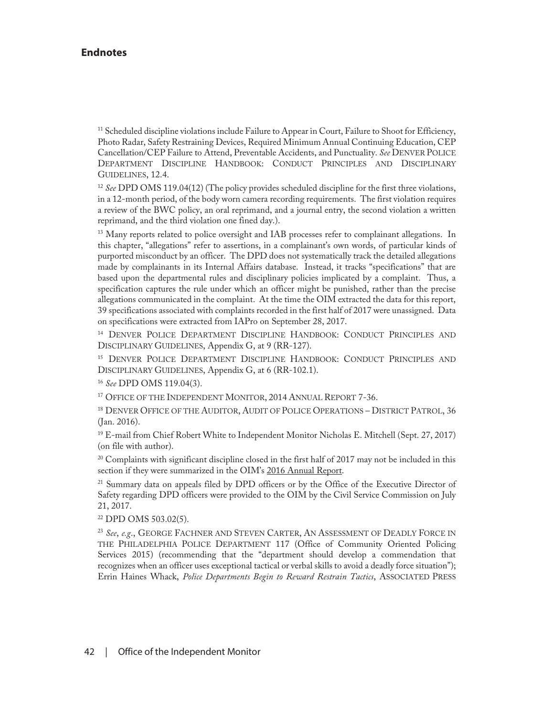#### **Endnotes**

 Photo Radar, Safety Restraining Devices, Required Minimum Annual Continuing Education, CEP <sup>11</sup> Scheduled discipline violations include Failure to Appear in Court, Failure to Shoot for Efficiency, Cancellation/CEP Failure to Attend, Preventable Accidents, and Punctuality. *See* DENVER POLICE DEPARTMENT DISCIPLINE HANDBOOK: CONDUCT PRINCIPLES AND DISCIPLINARY GUIDELINES, 12.4.

 <sup>12</sup>*See* DPD OMS 119.04(12) (The policy provides scheduled discipline for the first three violations, in a 12-month period, of the body worn camera recording requirements. The first violation requires a review of the BWC policy, an oral reprimand, and a journal entry, the second violation a written reprimand, and the third violation one fined day.).

 this chapter, "allegations" refer to assertions, in a complainant's own words, of particular kinds of made by complainants in its Internal Affairs database. Instead, it tracks "specifications" that are based upon the departmental rules and disciplinary policies implicated by a complaint. Thus, a specification captures the rule under which an officer might be punished, rather than the precise allegations communicated in the complaint. At the time the OIM extracted the data for this report, <sup>13</sup> Many reports related to police oversight and IAB processes refer to complainant allegations. In purported misconduct by an officer. The DPD does not systematically track the detailed allegations 39 specifications associated with complaints recorded in the first half of 2017 were unassigned. Data on specifications were extracted from IAPro on September 28, 2017.

14 DENVER POLICE DEPARTMENT DISCIPLINE HANDBOOK: CONDUCT PRINCIPLES AND DISCIPLINARY GUIDELINES, Appendix G, at 9 (RR-127).

15 DENVER POLICE DEPARTMENT DISCIPLINE HANDBOOK: CONDUCT PRINCIPLES AND DISCIPLINARY GUIDELINES, Appendix G, at 6 (RR-102.1).

<sup>16</sup>*See* DPD OMS 119.04(3).

<sup>17</sup> Office of the Independent Monitor, 2014 Annual Report 7-36.

<sup>18</sup> DENVER OFFICE OF THE AUDITOR, AUDIT OF POLICE OPERATIONS – DISTRICT PATROL, 36 (Jan. 2016).

 19 E-mail from Chief Robert White to Independent Monitor Nicholas E. Mitchell (Sept. 27, 2017) (on file with author).

 $^{20}$  Complaints with significant discipline closed in the first half of 2017 may not be included in this section if they were summarized in the OIM's 2016 Annual Report.

<sup>21</sup> Summary data on appeals filed by DPD officers or by the Office of the Executive Director of 21, 2017. Safety regarding DPD officers were provided to the OIM by the Civil Service Commission on July

<sup>22</sup> DPD OMS 503.02(5).

 <sup>23</sup>*See*, *e.g*., GEORGE FACHNER AND STEVEN CARTER, AN ASSESSMENT OF DEADLY FORCE IN THE PHILADELPHIA POLICE DEPARTMENT 117 (Office of Community Oriented Policing Services 2015) (recommending that the "department should develop a commendation that recognizes when an officer uses exceptional tactical or verbal skills to avoid a deadly force situation"); Errin Haines Whack, *Police Departments Begin to Reward Restrain Tactics*, ASSOCIATED PRESS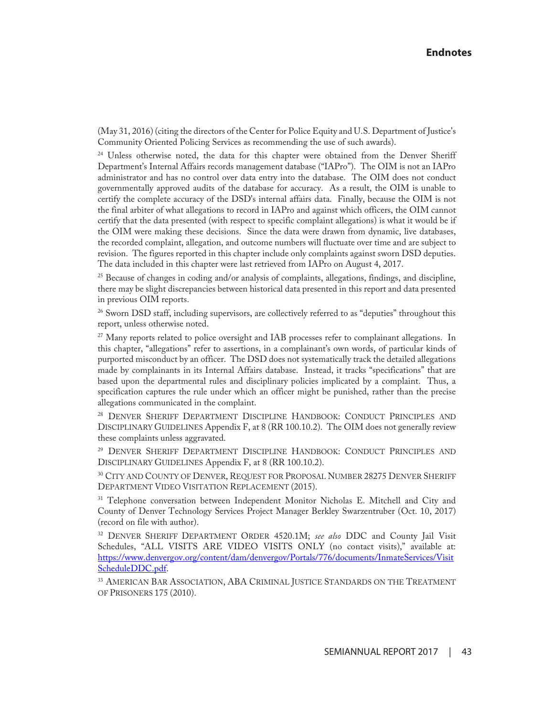(May 31, 2016) (citing the directors of the Center for Police Equity and U.S. Department of Justice's Community Oriented Policing Services as recommending the use of such awards).

 Department's Internal Affairs records management database ("IAPro"). The OIM is not an IAPro administrator and has no control over data entry into the database. The OIM does not conduct certify the complete accuracy of the DSD's internal affairs data. Finally, because the OIM is not the OIM were making these decisions. Since the data were drawn from dynamic, live databases, the recorded complaint, allegation, and outcome numbers will fluctuate over time and are subject to revision. The figures reported in this chapter include only complaints against sworn DSD deputies. The data included in this chapter were last retrieved from IAPro on August 4, 2017. <sup>24</sup> Unless otherwise noted, the data for this chapter were obtained from the Denver Sheriff governmentally approved audits of the database for accuracy. As a result, the OIM is unable to the final arbiter of what allegations to record in IAPro and against which officers, the OIM cannot certify that the data presented (with respect to specific complaint allegations) is what it would be if

 there may be slight discrepancies between historical data presented in this report and data presented <sup>25</sup> Because of changes in coding and/or analysis of complaints, allegations, findings, and discipline, in previous OIM reports.

<sup>26</sup> Sworn DSD staff, including supervisors, are collectively referred to as "deputies" throughout this report, unless otherwise noted.

 this chapter, "allegations" refer to assertions, in a complainant's own words, of particular kinds of purported misconduct by an officer. The DSD does not systematically track the detailed allegations based upon the departmental rules and disciplinary policies implicated by a complaint. Thus, a specification captures the rule under which an officer might be punished, rather than the precise <sup>27</sup> Many reports related to police oversight and IAB processes refer to complainant allegations. In made by complainants in its Internal Affairs database. Instead, it tracks "specifications" that are allegations communicated in the complaint.

these complaints unless aggravated. 28 DENVER SHERIFF DEPARTMENT DISCIPLINE HANDBOOK: CONDUCT PRINCIPLES AND DISCIPLINARY GUIDELINES Appendix F, at 8 (RR 100.10.2). The OIM does not generally review

<sup>29</sup> DENVER SHERIFF DEPARTMENT DISCIPLINE HANDBOOK: CONDUCT PRINCIPLES AND DISCIPLINARY GUIDELINES Appendix F, at 8 (RR 100.10.2).

30 CITY AND COUNTY OF DENVER, REQUEST FOR PROPOSAL NUMBER 28275 DENVER SHERIFF DEPARTMENT VIDEO VISITATION REPLACEMENT (2015).

<sup>31</sup> Telephone conversation between Independent Monitor Nicholas E. Mitchell and City and County of Denver Technology Services Project Manager Berkley Swarzentruber (Oct. 10, 2017) (record on file with author).

32 DENVER SHERIFF DEPARTMENT ORDER 4520.1M; *see also* DDC and County Jail Visit Schedules, "ALL VISITS ARE VIDEO VISITS ONLY (no contact visits)," available at: <https://www.denvergov.org/content/dam/denvergov/Portals/776/documents/InmateServices/Visit> ScheduleDDC.pdf.

 33 AMERICAN BAR ASSOCIATION, ABA CRIMINAL JUSTICE STANDARDS ON THE TREATMENT OF PRISONERS 175 (2010).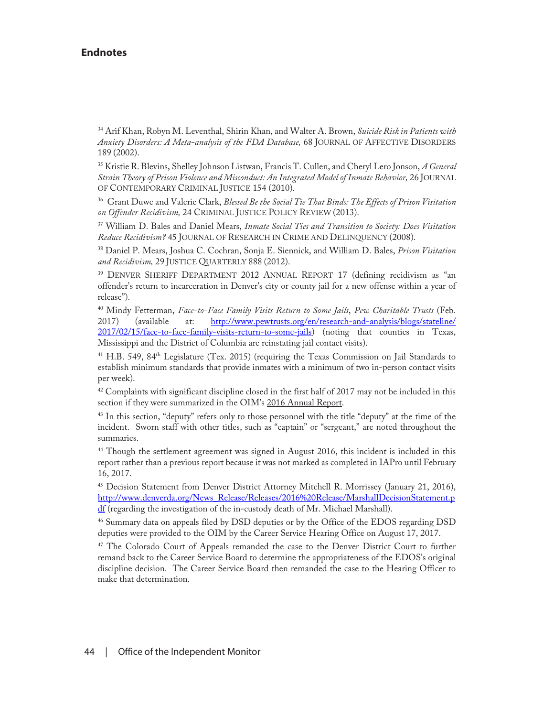#### **Endnotes**

 *Anxiety Disorders: A Meta-analysis of the FDA Database,* 68 JOURNAL OF AFFECTIVE DISORDERS 34 Arif Khan, Robyn M. Leventhal, Shirin Khan, and Walter A. Brown, *Suicide Risk in Patients with*  189 (2002).

 *Strain Theory of Prison Violence and Misconduct: An Integrated Model of Inmate Behavior,* 26 JOURNAL OF CONTEMPORARY CRIMINAL JUSTICE 154 (2010). 35 Kristie R. Blevins, Shelley Johnson Listwan, Francis T. Cullen, and Cheryl Lero Jonson, *A General* 

 36 Grant Duwe and Valerie Clark, *Blessed Be the Social Tie That Binds: The Effects of Prison Visitation on Offender Recidivism,* 24 CRIMINAL JUSTICE POLICY REVIEW (2013).

37 William D. Bales and Daniel Mears, *Inmate Social Ties and Transition to Society: Does Visitation Reduce Recidivism?* 45 JOURNAL OF RESEARCH IN CRIME AND DELINQUENCY (2008).

 *and Recidivism,* 29 JUSTICE QUARTERLY 888 (2012). 38 Daniel P. Mears, Joshua C. Cochran, Sonja E. Siennick, and William D. Bales, *Prison Visitation* 

 39 DENVER SHERIFF DEPARTMENT 2012 ANNUAL REPORT 17 (defining recidivism as "an offender's return to incarceration in Denver's city or county jail for a new offense within a year of release").

 2017/02/15/face-to-face-family-visits-return-to-some-jails) (noting that counties in Texas, Mississippi and the District of Columbia are reinstating jail contact visits). 40 Mindy Fetterman, *Face-to-Face Family Visits Return to Some Jails*, *Pew Charitable Trusts* (Feb. 2017) (available at: [http://www.pewtrusts.org/en/research-and-analysis/blogs/stateline/](http://www.pewtrusts.org/en/research-and-analysis/blogs/stateline)

 41 H.B. 549, 84th Legislature (Tex. 2015) (requiring the Texas Commission on Jail Standards to establish minimum standards that provide inmates with a minimum of two in-person contact visits per week).

<sup>42</sup> Complaints with significant discipline closed in the first half of 2017 may not be included in this section if they were summarized in the OIM's 2016 Annual Report.

 43 In this section, "deputy" refers only to those personnel with the title "deputy" at the time of the incident. Sworn staff with other titles, such as "captain" or "sergeant," are noted throughout the summaries.

 44 Though the settlement agreement was signed in August 2016, this incident is included in this 16, 2017. report rather than a previous report because it was not marked as completed in IAPro until February

16, 2017.<br><sup>45</sup> Decision Statement from Denver District Attorney Mitchell R. Morrissey (January 21, 2016), [http://www.denverda.org/News\\_Release/Releases/2016%20Release/MarshallDecisionStatement.p](http://www.denverda.org/News_Release/Releases/2016%20Release/MarshallDecisionStatement.p) df (regarding the investigation of the in-custody death of Mr. Michael Marshall).

 46 Summary data on appeals filed by DSD deputies or by the Office of the EDOS regarding DSD deputies were provided to the OIM by the Career Service Hearing Office on August 17, 2017.

deputies were provided to the OIM by the Career Service Hearing Office on August 17, 2017.<br><sup>47</sup> The Colorado Court of Appeals remanded the case to the Denver District Court to further make that determination. remand back to the Career Service Board to determine the appropriateness of the EDOS's original discipline decision. The Career Service Board then remanded the case to the Hearing Officer to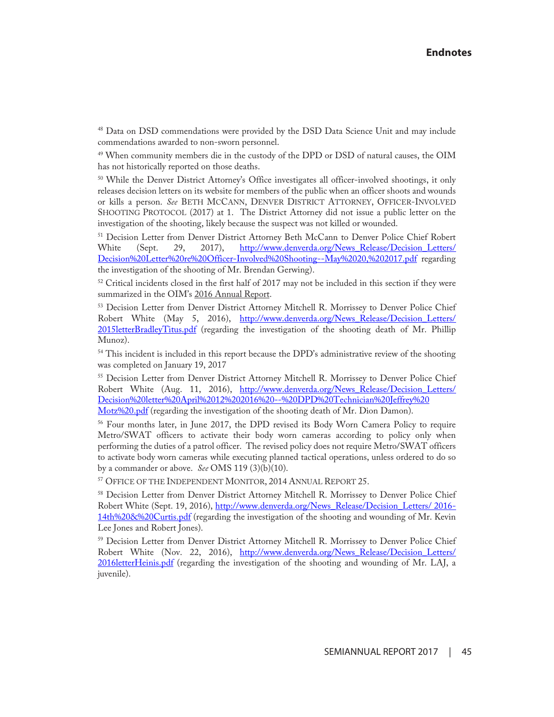48 Data on DSD commendations were provided by the DSD Data Science Unit and may include commendations awarded to non-sworn personnel.

commendations awarded to non-sworn personnel.<br><sup>49</sup> When community members die in the custody of the DPD or DSD of natural causes, the OIM has not historically reported on those deaths.

<sup>50</sup> While the Denver District Attorney's Office investigates all officer-involved shootings, it only releases decision letters on its website for members of the public when an officer shoots and wounds SHOOTING PROTOCOL (2017) at 1. The District Attorney did not issue a public letter on the or kills a person. *See* BETH MCCANN, DENVER DISTRICT ATTORNEY, OFFICER-INVOLVED investigation of the shooting, likely because the suspect was not killed or wounded.

 the investigation of the shooting of Mr. Brendan Gerwing). <sup>51</sup> Decision Letter from Denver District Attorney Beth McCann to Denver Police Chief Robert White (Sept. 29, 2017), http://www.denverda.org/News Release/Decision Letters/ [http://www.denverda.org/News\\_Release/Decision\\_Letters](http://www.denverda.org/News_Release/Decision_Letters)/ Decision%20Letter%20re%20Officer-Involved%20Shooting--May%2020,%202017.pdf regarding

 $52$  Critical incidents closed in the first half of 2017 may not be included in this section if they were summarized in the OIM's 2016 Annual Report.

 53 Decision Letter from Denver District Attorney Mitchell R. Morrissey to Denver Police Chief 2015letterBradleyTitus.pdf (regarding the investigation of the shooting death of Mr. Phillip Robert White (May 5, 2016), http://www.denverda.org/News Release/Decision Letters/ Munoz).

<sup>54</sup> This incident is included in this report because the DPD's administrative review of the shooting was completed on January 19, 2017

<sup>55</sup> Decision Letter from Denver District Attorney Mitchell R. Morrissey to Denver Police Chief Robert White (Aug. 11, 2016), [http://www.denverda.org/News\\_Release/Decision\\_Letters](http://www.denverda.org/News_Release/Decision_Letters)/ Decision%20letter%20April%2012%202016%20--%20DPD%20Technician%20Jeffrey%20

Motz%20.pdf (regarding the investigation of the shooting death of Mr. Dion Damon).

 56 Four months later, in June 2017, the DPD revised its Body Worn Camera Policy to require performing the duties of a patrol officer. The revised policy does not require Metro/SWAT officers to activate body worn cameras while executing planned tactical operations, unless ordered to do so by a commander or above. *See* OMS 119 (3)(b)(10). Metro/SWAT officers to activate their body worn cameras according to policy only when

<sup>57</sup> Office of the Independent Monitor, 2014 Annual Report 25.

<sup>58</sup> Decision Letter from Denver District Attorney Mitchell R. Morrissey to Denver Police Chief Robert White (Sept. 19, 2016), [http://www.denverda.org/News\\_Release/Decision\\_Letters/](http://www.denverda.org/News_Release/Decision_Letters) 2016-14th%20&%20Curtis.pdf (regarding the investigation of the shooting and wounding of Mr. Kevin Lee Jones and Robert Jones).

<sup>59</sup> Decision Letter from Denver District Attorney Mitchell R. Morrissey to Denver Police Chief 2016letterHeinis.pdf (regarding the investigation of the shooting and wounding of Mr. LAJ, a Robert White (Nov. 22, 2016), [http://www.denverda.org/News\\_Release/Decision\\_Letters](http://www.denverda.org/News_Release/Decision_Letters)/ juvenile).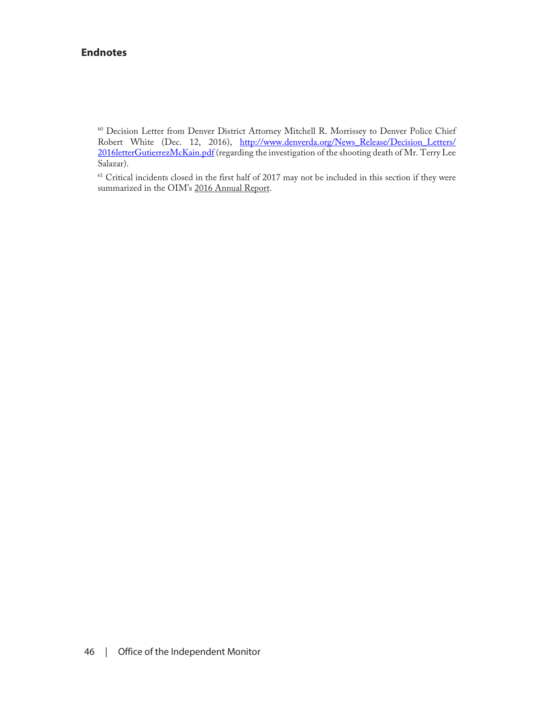#### **Endnotes**

 60 Decision Letter from Denver District Attorney Mitchell R. Morrissey to Denver Police Chief 2016letterGutierrezMcKain.pdf (regarding the investigation of the shooting death of Mr. Terry Lee Robert White (Dec. 12, 2016), [http://www.denverda.org/News\\_Release/Decision\\_Letters](http://www.denverda.org/News_Release/Decision_Letters)/ Salazar).

<sup>61</sup> Critical incidents closed in the first half of 2017 may not be included in this section if they were summarized in the OIM's 2016 Annual Report.